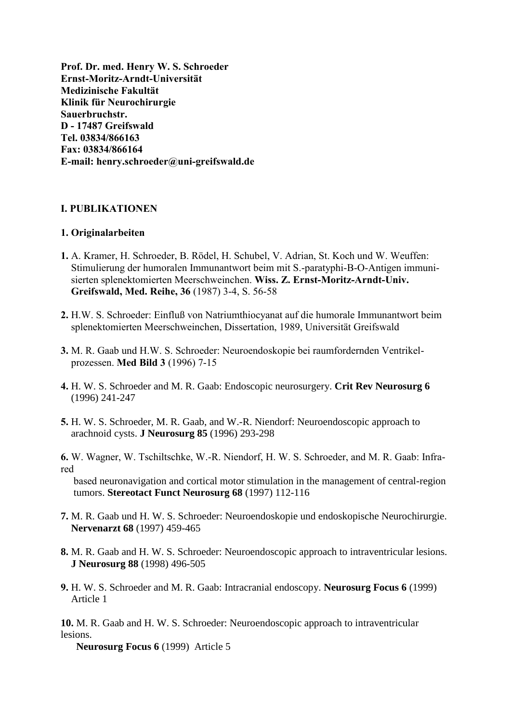**Prof. Dr. med. Henry W. S. Schroeder Ernst-Moritz-Arndt-Universität Medizinische Fakultät Klinik für Neurochirurgie Sauerbruchstr. D - 17487 Greifswald Tel. 03834/866163 Fax: 03834/866164 E-mail: henry.schroeder@uni-greifswald.de**

# **I. PUBLIKATIONEN**

### **1. Originalarbeiten**

- **1.** A. Kramer, H. Schroeder, B. Rödel, H. Schubel, V. Adrian, St. Koch und W. Weuffen: Stimulierung der humoralen Immunantwort beim mit S.-paratyphi-B-O-Antigen immuni sierten splenektomierten Meerschweinchen. **Wiss. Z. Ernst-Moritz-Arndt-Univ. Greifswald, Med. Reihe, 36** (1987) 3-4, S. 56-58
- **2.** H.W. S. Schroeder: Einfluß von Natriumthiocyanat auf die humorale Immunantwort beim splenektomierten Meerschweinchen, Dissertation, 1989, Universität Greifswald
- **3.** M. R. Gaab und H.W. S. Schroeder: Neuroendoskopie bei raumfordernden Ventrikel prozessen. **Med Bild 3** (1996) 7-15
- **4.** H. W. S. Schroeder and M. R. Gaab: Endoscopic neurosurgery. **Crit Rev Neurosurg 6** (1996) 241-247
- **5.** H. W. S. Schroeder, M. R. Gaab, and W.-R. Niendorf: Neuroendoscopic approach to arachnoid cysts. **J Neurosurg 85** (1996) 293-298

**6.** W. Wagner, W. Tschiltschke, W.-R. Niendorf, H. W. S. Schroeder, and M. R. Gaab: Infrared

 based neuronavigation and cortical motor stimulation in the management of central-region tumors. **Stereotact Funct Neurosurg 68** (1997) 112-116

- **7.** M. R. Gaab und H. W. S. Schroeder: Neuroendoskopie und endoskopische Neurochirurgie. **Nervenarzt 68** (1997) 459-465
- **8.** M. R. Gaab and H. W. S. Schroeder: Neuroendoscopic approach to intraventricular lesions.  **J Neurosurg 88** (1998) 496-505
- **9.** H. W. S. Schroeder and M. R. Gaab: Intracranial endoscopy. **Neurosurg Focus 6** (1999) Article 1

**10.** M. R. Gaab and H. W. S. Schroeder: Neuroendoscopic approach to intraventricular lesions.

 **Neurosurg Focus 6** (1999) Article 5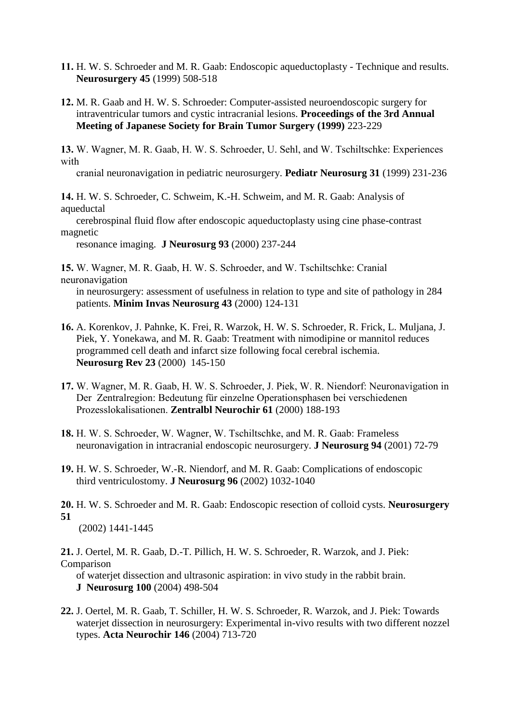- **11.** H. W. S. Schroeder and M. R. Gaab: Endoscopic aqueductoplasty Technique and results. **Neurosurgery 45** (1999) 508-518
- **12.** M. R. Gaab and H. W. S. Schroeder: Computer-assisted neuroendoscopic surgery for intraventricular tumors and cystic intracranial lesions. **Proceedings of the 3rd Annual Meeting of Japanese Society for Brain Tumor Surgery (1999)** 223-229

**13.** W. Wagner, M. R. Gaab, H. W. S. Schroeder, U. Sehl, and W. Tschiltschke: Experiences with

cranial neuronavigation in pediatric neurosurgery. **Pediatr Neurosurg 31** (1999) 231-236

**14.** H. W. S. Schroeder, C. Schweim, K.-H. Schweim, and M. R. Gaab: Analysis of aqueductal

 cerebrospinal fluid flow after endoscopic aqueductoplasty using cine phase-contrast magnetic

resonance imaging. **J Neurosurg 93** (2000) 237-244

**15.** W. Wagner, M. R. Gaab, H. W. S. Schroeder, and W. Tschiltschke: Cranial neuronavigation

 in neurosurgery: assessment of usefulness in relation to type and site of pathology in 284 patients. **Minim Invas Neurosurg 43** (2000) 124-131

- **16.** A. Korenkov, J. Pahnke, K. Frei, R. Warzok, H. W. S. Schroeder, R. Frick, L. Muljana, J. Piek, Y. Yonekawa, and M. R. Gaab: Treatment with nimodipine or mannitol reduces programmed cell death and infarct size following focal cerebral ischemia. **Neurosurg Rev 23** (2000) 145-150
- **17.** W. Wagner, M. R. Gaab, H. W. S. Schroeder, J. Piek, W. R. Niendorf: Neuronavigation in Der Zentralregion: Bedeutung für einzelne Operationsphasen bei verschiedenen Prozesslokalisationen. **Zentralbl Neurochir 61** (2000) 188-193
- **18.** H. W. S. Schroeder, W. Wagner, W. Tschiltschke, and M. R. Gaab: Frameless neuronavigation in intracranial endoscopic neurosurgery. **J Neurosurg 94** (2001) 72-79
- **19.** H. W. S. Schroeder, W.-R. Niendorf, and M. R. Gaab: Complications of endoscopic third ventriculostomy. **J Neurosurg 96** (2002) 1032-1040

**20.** H. W. S. Schroeder and M. R. Gaab: Endoscopic resection of colloid cysts. **Neurosurgery 51** 

(2002) 1441-1445

**21.** J. Oertel, M. R. Gaab, D.-T. Pillich, H. W. S. Schroeder, R. Warzok, and J. Piek: Comparison

 of waterjet dissection and ultrasonic aspiration: in vivo study in the rabbit brain. **J Neurosurg 100** (2004) 498-504

**22.** J. Oertel, M. R. Gaab, T. Schiller, H. W. S. Schroeder, R. Warzok, and J. Piek: Towards waterjet dissection in neurosurgery: Experimental in-vivo results with two different nozzel types. **Acta Neurochir 146** (2004) 713-720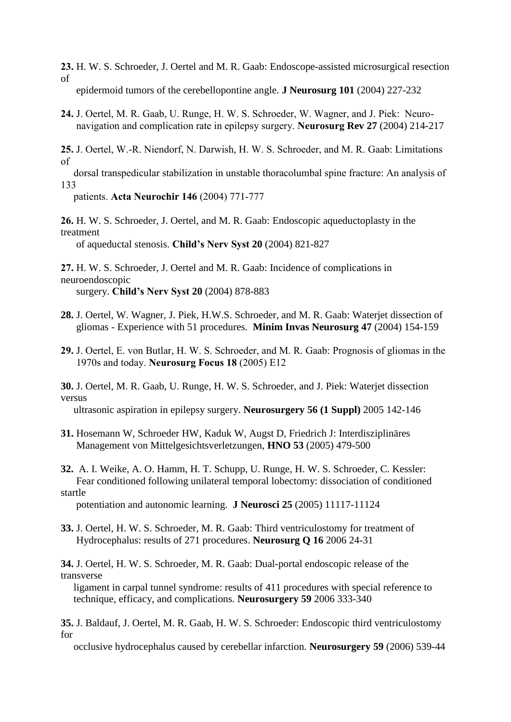**23.** H. W. S. Schroeder, J. Oertel and M. R. Gaab: Endoscope-assisted microsurgical resection of epidermoid tumors of the cerebellopontine angle. **J Neurosurg 101** (2004) 227-232

**24.** J. Oertel, M. R. Gaab, U. Runge, H. W. S. Schroeder, W. Wagner, and J. Piek: Neuro navigation and complication rate in epilepsy surgery. **Neurosurg Rev 27** (2004) 214-217

**25.** J. Oertel, W.-R. Niendorf, N. Darwish, H. W. S. Schroeder, and M. R. Gaab: Limitations of

 dorsal transpedicular stabilization in unstable thoracolumbal spine fracture: An analysis of 133

patients. **Acta Neurochir 146** (2004) 771-777

**26.** H. W. S. Schroeder, J. Oertel, and M. R. Gaab: Endoscopic aqueductoplasty in the treatment

of aqueductal stenosis. **Child's Nerv Syst 20** (2004) 821-827

**27.** H. W. S. Schroeder, J. Oertel and M. R. Gaab: Incidence of complications in neuroendoscopic surgery. **Child's Nerv Syst 20** (2004) 878-883

- **28.** J. Oertel, W. Wagner, J. Piek, H.W.S. Schroeder, and M. R. Gaab: Waterjet dissection of gliomas - Experience with 51 procedures. **Minim Invas Neurosurg 47** (2004) 154-159
- **29.** J. Oertel, E. von Butlar, H. W. S. Schroeder, and M. R. Gaab: Prognosis of gliomas in the 1970s and today. **Neurosurg Focus 18** (2005) E12

**30.** J. Oertel, M. R. Gaab, U. Runge, H. W. S. Schroeder, and J. Piek: Waterjet dissection versus

ultrasonic aspiration in epilepsy surgery. **Neurosurgery 56 (1 Suppl)** 2005 142-146

- **31.** [Hosemann W,](http://www.ncbi.nlm.nih.gov/entrez/query.fcgi?db=pubmed&cmd=Search&term=%22Hosemann+W%22%5BAuthor%5D) [Schroeder HW,](http://www.ncbi.nlm.nih.gov/entrez/query.fcgi?db=pubmed&cmd=Search&term=%22Schroeder+HW%22%5BAuthor%5D) [Kaduk W,](http://www.ncbi.nlm.nih.gov/entrez/query.fcgi?db=pubmed&cmd=Search&term=%22Kaduk+W%22%5BAuthor%5D) [Augst D,](http://www.ncbi.nlm.nih.gov/entrez/query.fcgi?db=pubmed&cmd=Search&term=%22Augst+D%22%5BAuthor%5D) [Friedrich J:](http://www.ncbi.nlm.nih.gov/entrez/query.fcgi?db=pubmed&cmd=Search&term=%22Friedrich+J%22%5BAuthor%5D) Interdisziplinäres Management von Mittelgesichtsverletzungen, **HNO 53** (2005) 479-500
- **32.** A. I. Weike, A. O. Hamm, H. T. Schupp, U. Runge, H. W. S. [Schroeder,](http://www.ncbi.nlm.nih.gov/entrez/query.fcgi?db=pubmed&cmd=Search&term=%22Schroeder+HW%22%5BAuthor%5D) C. Kessler: Fear conditioned following unilateral temporal lobectomy: dissociation of conditioned startle

potentiation and autonomic learning. **J Neurosci 25** (2005) 11117-11124

**33.** J. Oertel, H. W. S. Schroeder, M. R. Gaab: Third ventriculostomy for treatment of Hydrocephalus: results of 271 procedures. **Neurosurg Q 16** 2006 24-31

**34.** J. Oertel, H. W. S. Schroeder, M. R. Gaab: Dual-portal endoscopic release of the transverse

 ligament in carpal tunnel syndrome: results of 411 procedures with special reference to technique, efficacy, and complications. **Neurosurgery 59** 2006 333-340

**35.** J. Baldauf, J. Oertel, M. R. Gaab, H. W. S. Schroeder: Endoscopic third ventriculostomy for

occlusive hydrocephalus caused by cerebellar infarction. **Neurosurgery 59** (2006) 539-44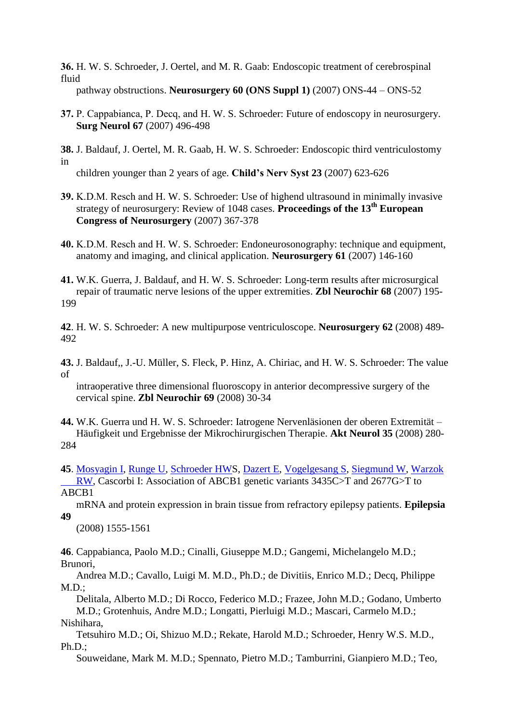**36.** H. W. S. Schroeder, J. Oertel, and M. R. Gaab: Endoscopic treatment of cerebrospinal fluid

pathway obstructions. **Neurosurgery 60 (ONS Suppl 1)** (2007) ONS-44 – ONS-52

- **37.** P. Cappabianca, P. Decq, and H. W. S. Schroeder: Future of endoscopy in neurosurgery. **Surg Neurol 67** (2007) 496-498
- **38.** J. Baldauf, J. Oertel, M. R. Gaab, H. W. S. Schroeder: Endoscopic third ventriculostomy in

children younger than 2 years of age. **Child's Nerv Syst 23** (2007) 623-626

- **39.** K.D.M. Resch and H. W. S. Schroeder: Use of highend ultrasound in minimally invasive strategy of neurosurgery: Review of 1048 cases. **Proceedings of the 13th European Congress of Neurosurgery** (2007) 367-378
- **40.** K.D.M. Resch and H. W. S. Schroeder: Endoneurosonography: technique and equipment, anatomy and imaging, and clinical application. **Neurosurgery 61** (2007) 146-160
- **41.** W.K. Guerra, J. Baldauf, and H. W. S. Schroeder: Long-term results after microsurgical repair of traumatic nerve lesions of the upper extremities. **Zbl Neurochir 68** (2007) 195- 199

**42**. H. W. S. Schroeder: A new multipurpose ventriculoscope. **Neurosurgery 62** (2008) 489- 492

**43.** J. Baldauf,, J.-U. Müller, S. Fleck, P. Hinz, A. Chiriac, and H. W. S. Schroeder: The value of

 intraoperative three dimensional fluoroscopy in anterior decompressive surgery of the cervical spine. **Zbl Neurochir 69** (2008) 30-34

- **44.** W.K. Guerra und H. W. S. Schroeder: Iatrogene Nervenläsionen der oberen Extremität Häufigkeit und Ergebnisse der Mikrochirurgischen Therapie. **Akt Neurol 35** (2008) 280- 284
- **45**. [Mosyagin I,](http://www.ncbi.nlm.nih.gov/sites/entrez?Db=pubmed&Cmd=Search&Term=%22Mosyagin%20I%22%5BAuthor%5D&itool=EntrezSystem2.PEntrez.Pubmed.Pubmed_ResultsPanel.Pubmed_DiscoveryPanel.Pubmed_RVAbstractPlus) [Runge U,](http://www.ncbi.nlm.nih.gov/sites/entrez?Db=pubmed&Cmd=Search&Term=%22Runge%20U%22%5BAuthor%5D&itool=EntrezSystem2.PEntrez.Pubmed.Pubmed_ResultsPanel.Pubmed_DiscoveryPanel.Pubmed_RVAbstractPlus) [Schroeder HWS](http://www.ncbi.nlm.nih.gov/sites/entrez?Db=pubmed&Cmd=Search&Term=%22Schroeder%20HW%22%5BAuthor%5D&itool=EntrezSystem2.PEntrez.Pubmed.Pubmed_ResultsPanel.Pubmed_DiscoveryPanel.Pubmed_RVAbstractPlus), [Dazert E,](http://www.ncbi.nlm.nih.gov/sites/entrez?Db=pubmed&Cmd=Search&Term=%22Dazert%20E%22%5BAuthor%5D&itool=EntrezSystem2.PEntrez.Pubmed.Pubmed_ResultsPanel.Pubmed_DiscoveryPanel.Pubmed_RVAbstractPlus) [Vogelgesang S,](http://www.ncbi.nlm.nih.gov/sites/entrez?Db=pubmed&Cmd=Search&Term=%22Vogelgesang%20S%22%5BAuthor%5D&itool=EntrezSystem2.PEntrez.Pubmed.Pubmed_ResultsPanel.Pubmed_DiscoveryPanel.Pubmed_RVAbstractPlus) [Siegmund W,](http://www.ncbi.nlm.nih.gov/sites/entrez?Db=pubmed&Cmd=Search&Term=%22Siegmund%20W%22%5BAuthor%5D&itool=EntrezSystem2.PEntrez.Pubmed.Pubmed_ResultsPanel.Pubmed_DiscoveryPanel.Pubmed_RVAbstractPlus) [Warzok](http://www.ncbi.nlm.nih.gov/sites/entrez?Db=pubmed&Cmd=Search&Term=%22Warzok%20RW%22%5BAuthor%5D&itool=EntrezSystem2.PEntrez.Pubmed.Pubmed_ResultsPanel.Pubmed_DiscoveryPanel.Pubmed_RVAbstractPlus)   [RW,](http://www.ncbi.nlm.nih.gov/sites/entrez?Db=pubmed&Cmd=Search&Term=%22Warzok%20RW%22%5BAuthor%5D&itool=EntrezSystem2.PEntrez.Pubmed.Pubmed_ResultsPanel.Pubmed_DiscoveryPanel.Pubmed_RVAbstractPlus) Cascorbi I: Association of ABCB1 genetic variants 3435C>T and 2677G>T to ABCB1

 mRNA and protein expression in brain tissue from refractory epilepsy patients. **Epilepsia 49**

(2008) 1555-1561

**46**. Cappabianca, Paolo M.D.; Cinalli, Giuseppe M.D.; Gangemi, Michelangelo M.D.; Brunori,

 Andrea M.D.; Cavallo, Luigi M. M.D., Ph.D.; de Divitiis, Enrico M.D.; Decq, Philippe  $M.D.:$ 

 Delitala, Alberto M.D.; Di Rocco, Federico M.D.; Frazee, John M.D.; Godano, Umberto M.D.; Grotenhuis, Andre M.D.; Longatti, Pierluigi M.D.; Mascari, Carmelo M.D.; Nishihara,

 Tetsuhiro M.D.; Oi, Shizuo M.D.; Rekate, Harold M.D.; Schroeder, Henry W.S. M.D., Ph.D.;

Souweidane, Mark M. M.D.; Spennato, Pietro M.D.; Tamburrini, Gianpiero M.D.; Teo,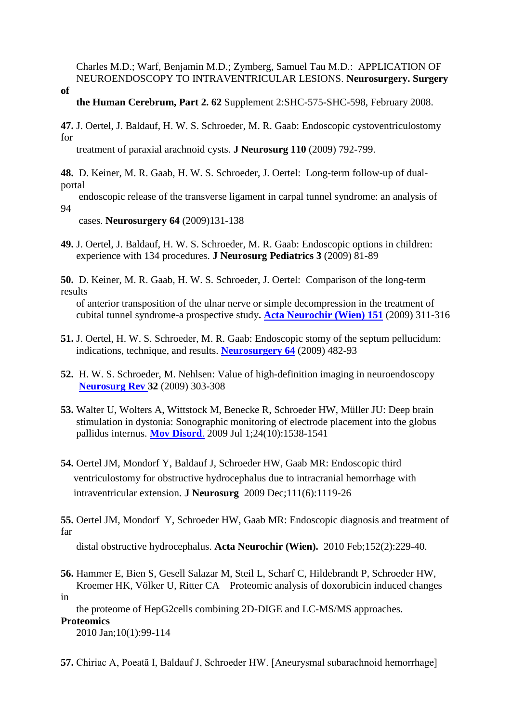Charles M.D.; Warf, Benjamin M.D.; Zymberg, Samuel Tau M.D.: APPLICATION OF NEUROENDOSCOPY TO INTRAVENTRICULAR LESIONS. **Neurosurgery. Surgery** 

**of** 

## **the Human Cerebrum, Part 2. 62** Supplement 2:SHC-575-SHC-598, February 2008.

**47.** J. Oertel, J. Baldauf, H. W. S. Schroeder, M. R. Gaab: Endoscopic cystoventriculostomy for

treatment of paraxial arachnoid cysts. **J Neurosurg 110** (2009) 792-799.

**48.** D. Keiner, M. R. Gaab, H. W. S. Schroeder, J. Oertel: Long-term follow-up of dualportal

 endoscopic release of the transverse ligament in carpal tunnel syndrome: an analysis of 94

cases. **Neurosurgery 64** (2009)131-138

**49.** J. Oertel, J. Baldauf, H. W. S. Schroeder, M. R. Gaab: Endoscopic options in children: experience with 134 procedures. **J Neurosurg Pediatrics 3** (2009) 81-89

**50.** D. Keiner, M. R. Gaab, H. W. S. Schroeder, J. Oertel: Comparison of the long-term results

 of anterior transposition of the ulnar nerve or simple decompression in the treatment of cubital tunnel syndrome-a prospective study**. [Acta Neurochir \(Wien\)](javascript:AL_get(this,%20) 151** (2009) 311-316

- **51.** J. Oertel, H. W. S. Schroeder, M. R. Gaab: Endoscopic stomy of the septum pellucidum: indications, technique, and results. **[Neurosurgery 64](javascript:AL_get(this,%20)** (2009) 482-93
- **52.** H. W. S. Schroeder, M. Nehlsen: Value of high-definition imaging in neuroendoscopy **[Neurosurg Rev 3](javascript:AL_get(this,%20)2** (2009) 303-308
- **53.** [Walter U,](http://www.ncbi.nlm.nih.gov/sites/entrez?Db=pubmed&Cmd=Search&Term=%22Walter%20U%22%5BAuthor%5D&itool=EntrezSystem2.PEntrez.Pubmed.Pubmed_ResultsPanel.Pubmed_DiscoveryPanel.Pubmed_RVAbstractPlus) [Wolters A,](http://www.ncbi.nlm.nih.gov/sites/entrez?Db=pubmed&Cmd=Search&Term=%22Wolters%20A%22%5BAuthor%5D&itool=EntrezSystem2.PEntrez.Pubmed.Pubmed_ResultsPanel.Pubmed_DiscoveryPanel.Pubmed_RVAbstractPlus) [Wittstock M,](http://www.ncbi.nlm.nih.gov/sites/entrez?Db=pubmed&Cmd=Search&Term=%22Wittstock%20M%22%5BAuthor%5D&itool=EntrezSystem2.PEntrez.Pubmed.Pubmed_ResultsPanel.Pubmed_DiscoveryPanel.Pubmed_RVAbstractPlus) [Benecke R,](http://www.ncbi.nlm.nih.gov/sites/entrez?Db=pubmed&Cmd=Search&Term=%22Benecke%20R%22%5BAuthor%5D&itool=EntrezSystem2.PEntrez.Pubmed.Pubmed_ResultsPanel.Pubmed_DiscoveryPanel.Pubmed_RVAbstractPlus) [Schroeder HW,](http://www.ncbi.nlm.nih.gov/sites/entrez?Db=pubmed&Cmd=Search&Term=%22Schroeder%20HW%22%5BAuthor%5D&itool=EntrezSystem2.PEntrez.Pubmed.Pubmed_ResultsPanel.Pubmed_DiscoveryPanel.Pubmed_RVAbstractPlus) [Müller JU:](http://www.ncbi.nlm.nih.gov/sites/entrez?Db=pubmed&Cmd=Search&Term=%22M%C3%BCller%20JU%22%5BAuthor%5D&itool=EntrezSystem2.PEntrez.Pubmed.Pubmed_ResultsPanel.Pubmed_DiscoveryPanel.Pubmed_RVAbstractPlus) Deep brain stimulation in dystonia: Sonographic monitoring of electrode placement into the globus pallidus internus. **[Mov Disord](javascript:AL_get(this,%20)**. 2009 Jul 1;24(10):1538-1541
- **54.** Oertel JM, Mondorf Y, Baldauf J, Schroeder HW, Gaab MR: [Endoscopic third](http://www.ncbi.nlm.nih.gov/pubmed/19425883?ordinalpos=2&itool=EntrezSystem2.PEntrez.Pubmed.Pubmed_ResultsPanel.Pubmed_DefaultReportPanel.Pubmed_RVDocSum)   [ventriculostomy for obstructive hydrocephalus due to intracranial hemorrhage with](http://www.ncbi.nlm.nih.gov/pubmed/19425883?ordinalpos=2&itool=EntrezSystem2.PEntrez.Pubmed.Pubmed_ResultsPanel.Pubmed_DefaultReportPanel.Pubmed_RVDocSum)   [intraventricular extension.](http://www.ncbi.nlm.nih.gov/pubmed/19425883?ordinalpos=2&itool=EntrezSystem2.PEntrez.Pubmed.Pubmed_ResultsPanel.Pubmed_DefaultReportPanel.Pubmed_RVDocSum) **J Neurosurg** 2009 Dec;111(6):1119-26

**55.** Oertel JM, Mondorf Y, Schroeder HW, Gaab MR: Endoscopic diagnosis and treatment of far

distal obstructive hydrocephalus. **Acta Neurochir (Wien).** 2010 Feb;152(2):229-40.

**56.** Hammer E, Bien S, Gesell Salazar M, Steil L, Scharf C, Hildebrandt P, Schroeder HW, Kroemer HK, Völker U, Ritter CA Proteomic analysis of doxorubicin induced changes

in

 the proteome of HepG2cells combining 2D-DIGE and LC-MS/MS approaches. **Proteomics**

2010 Jan;10(1):99-114

**57.** Chiriac A, Poeată I, Baldauf J, Schroeder HW. [Aneurysmal subarachnoid hemorrhage]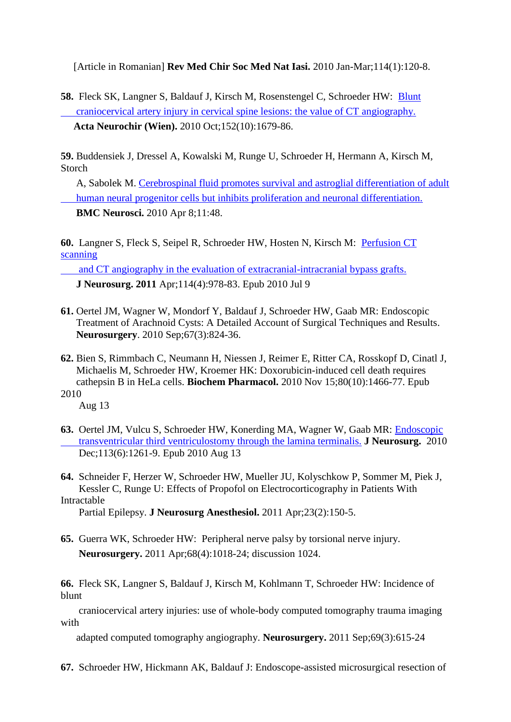[Article in Romanian] **Rev Med Chir Soc Med Nat Iasi.** 2010 Jan-Mar;114(1):120-8.

**58.** Fleck SK, Langner S, Baldauf J, Kirsch M, Rosenstengel C, Schroeder HW: [Blunt](http://www.ncbi.nlm.nih.gov/pubmed/20496085)   [craniocervical artery injury in cervical spine lesions: the value of CT angiography.](http://www.ncbi.nlm.nih.gov/pubmed/20496085) **Acta Neurochir (Wien).** 2010 Oct;152(10):1679-86.

**59.** Buddensiek J, Dressel A, Kowalski M, Runge U, Schroeder H, Hermann A, Kirsch M, Storch

 A, Sabolek M. [Cerebrospinal fluid promotes survival and astroglial differentiation of adult](http://www.ncbi.nlm.nih.gov/pubmed/20377845)   [human neural progenitor cells but inhibits proliferation and neuronal differentiation.](http://www.ncbi.nlm.nih.gov/pubmed/20377845) **BMC Neurosci.** 2010 Apr 8;11:48.

**60.** Langner S, Fleck S, Seipel R, Schroeder HW, Hosten N, Kirsch M: [Perfusion CT](http://www.ncbi.nlm.nih.gov/pubmed/20496085)  [scanning](http://www.ncbi.nlm.nih.gov/pubmed/20496085) 

 [and CT angiography in the evaluation of extracranial-intracranial bypass grafts.](http://www.ncbi.nlm.nih.gov/pubmed/20496085)  **J Neurosurg. 2011** Apr;114(4):978-83. Epub 2010 Jul 9

- **61.** Oertel JM, Wagner W, Mondorf Y, Baldauf J, Schroeder HW, Gaab MR: Endoscopic Treatment of Arachnoid Cysts: A Detailed Account of Surgical Techniques and Results. **Neurosurgery**. 2010 Sep;67(3):824-36.
- **62.** Bien S, Rimmbach C, Neumann H, Niessen J, Reimer E, Ritter CA, Rosskopf D, Cinatl J, Michaelis M, Schroeder HW, Kroemer HK: Doxorubicin-induced cell death requires cathepsin B in HeLa cells. **Biochem Pharmacol.** 2010 Nov 15;80(10):1466-77. Epub 2010

Aug 13

**63.** Oertel JM, Vulcu S, Schroeder HW, Konerding MA, Wagner W, Gaab MR: [Endoscopic](http://www.ncbi.nlm.nih.gov/pubmed/20707616)   [transventricular third ventriculostomy through the lamina terminalis.](http://www.ncbi.nlm.nih.gov/pubmed/20707616) **J Neurosurg.** 2010 Dec;113(6):1261-9. Epub 2010 Aug 13

**64.** Schneider F, Herzer W, Schroeder HW, Mueller JU, Kolyschkow P, Sommer M, Piek J, Kessler C, Runge U: Effects of Propofol on Electrocorticography in Patients With Intractable

Partial Epilepsy. **J Neurosurg Anesthesiol.** 2011 Apr;23(2):150-5.

**65.** Guerra WK, Schroeder HW: Peripheral nerve palsy by torsional nerve injury. **Neurosurgery.** 2011 Apr;68(4):1018-24; discussion 1024.

**66.** Fleck SK, Langner S, Baldauf J, Kirsch M, Kohlmann T, Schroeder HW: Incidence of blunt

 craniocervical artery injuries: use of whole-body computed tomography trauma imaging with

adapted computed tomography angiography. **Neurosurgery.** 2011 Sep;69(3):615-24

**67.** Schroeder HW, Hickmann AK, Baldauf J: Endoscope-assisted microsurgical resection of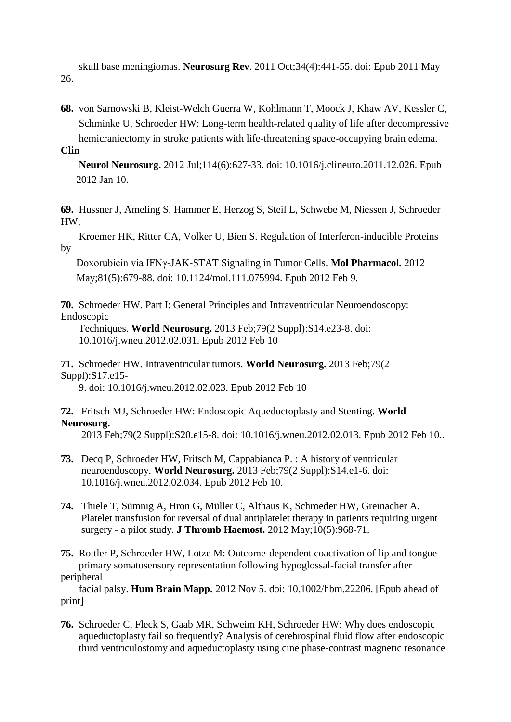skull base meningiomas. **Neurosurg Rev**. 2011 Oct;34(4):441-55. doi: Epub 2011 May 26.

- **68.** von Sarnowski B, Kleist-Welch Guerra W, Kohlmann T, Moock J, Khaw AV, Kessler C, Schminke U, Schroeder HW: Long-term health-related quality of life after decompressive hemicraniectomy in stroke patients with life-threatening space-occupying brain edema.
- **Clin**

 **Neurol Neurosurg.** 2012 Jul;114(6):627-33. doi: 10.1016/j.clineuro.2011.12.026. Epub 2012 Jan 10.

**69.** Hussner J, Ameling S, Hammer E, Herzog S, Steil L, Schwebe M, Niessen J, Schroeder HW,

 Kroemer HK, Ritter CA, Volker U, Bien S. Regulation of Interferon-inducible Proteins by

 Doxorubicin via IFNγ-JAK-STAT Signaling in Tumor Cells. **Mol Pharmacol.** 2012 May;81(5):679-88. doi: 10.1124/mol.111.075994. Epub 2012 Feb 9.

**70.** Schroeder HW. Part I: General Principles and Intraventricular Neuroendoscopy: Endoscopic

 Techniques. **World Neurosurg.** 2013 Feb;79(2 Suppl):S14.e23-8. doi: 10.1016/j.wneu.2012.02.031. Epub 2012 Feb 10

**71.** Schroeder HW. Intraventricular tumors. **World Neurosurg.** 2013 Feb;79(2 Suppl):S17.e15-

9. doi: 10.1016/j.wneu.2012.02.023. Epub 2012 Feb 10

**72.** Fritsch MJ, Schroeder HW: Endoscopic Aqueductoplasty and Stenting. **World Neurosurg.**

2013 Feb;79(2 Suppl):S20.e15-8. doi: 10.1016/j.wneu.2012.02.013. Epub 2012 Feb 10..

- **73.** Decq P, Schroeder HW, Fritsch M, Cappabianca P. : A history of ventricular neuroendoscopy. **World Neurosurg.** 2013 Feb;79(2 Suppl):S14.e1-6. doi: 10.1016/j.wneu.2012.02.034. Epub 2012 Feb 10.
- **74.** Thiele T, Sümnig A, Hron G, Müller C, Althaus K, Schroeder HW, Greinacher A. Platelet transfusion for reversal of dual antiplatelet therapy in patients requiring urgent surgery - a pilot study. **J Thromb Haemost.** 2012 May;10(5):968-71.

**75.** Rottler P, Schroeder HW, Lotze M: Outcome-dependent coactivation of lip and tongue primary somatosensory representation following hypoglossal-facial transfer after peripheral

 facial palsy. **Hum Brain Mapp.** 2012 Nov 5. doi: 10.1002/hbm.22206. [Epub ahead of print]

**76.** Schroeder C, Fleck S, Gaab MR, Schweim KH, Schroeder HW: Why does endoscopic aqueductoplasty fail so frequently? Analysis of cerebrospinal fluid flow after endoscopic third ventriculostomy and aqueductoplasty using cine phase-contrast magnetic resonance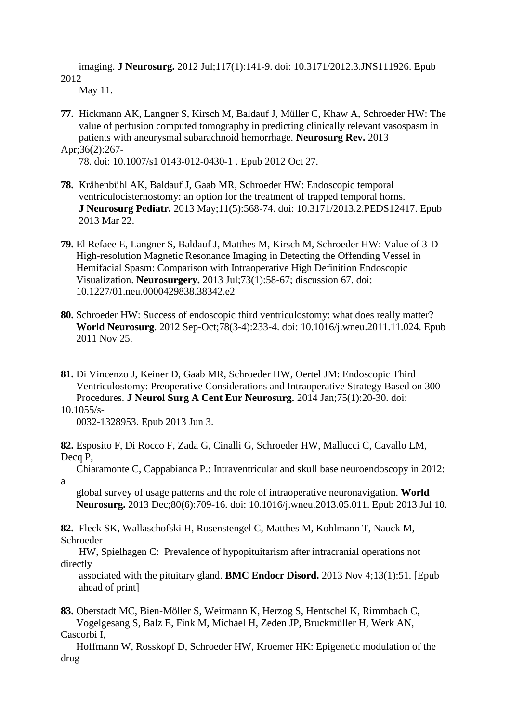imaging. **J Neurosurg.** 2012 Jul;117(1):141-9. doi: 10.3171/2012.3.JNS111926. Epub 2012

May 11.

**77.** Hickmann AK, Langner S, Kirsch M, Baldauf J, Müller C, Khaw A, Schroeder HW: The value of perfusion computed tomography in predicting clinically relevant vasospasm in patients with aneurysmal subarachnoid hemorrhage. **Neurosurg Rev.** 2013 Apr;36(2):267-

78. doi: 10.1007/s1 0143-012-0430-1 . Epub 2012 Oct 27.

- **78.** Krähenbühl AK, Baldauf J, Gaab MR, Schroeder HW: Endoscopic temporal ventriculocisternostomy: an option for the treatment of trapped temporal horns. **J Neurosurg Pediatr.** 2013 May;11(5):568-74. doi: 10.3171/2013.2.PEDS12417. Epub 2013 Mar 22.
- **79.** El Refaee E, Langner S, Baldauf J, Matthes M, Kirsch M, Schroeder HW: Value of 3-D High-resolution Magnetic Resonance Imaging in Detecting the Offending Vessel in Hemifacial Spasm: Comparison with Intraoperative High Definition Endoscopic Visualization. **Neurosurgery.** 2013 Jul;73(1):58-67; discussion 67. doi: 10.1227/01.neu.0000429838.38342.e2
- **80.** Schroeder HW: Success of endoscopic third ventriculostomy: what does really matter? **World Neurosurg**. 2012 Sep-Oct;78(3-4):233-4. doi: 10.1016/j.wneu.2011.11.024. Epub 2011 Nov 25.
- **81.** Di Vincenzo J, Keiner D, Gaab MR, Schroeder HW, Oertel JM: Endoscopic Third Ventriculostomy: Preoperative Considerations and Intraoperative Strategy Based on 300 Procedures. **J Neurol Surg A Cent Eur Neurosurg.** 2014 Jan;75(1):20-30. doi:
- 10.1055/s-

a

0032-1328953. Epub 2013 Jun 3.

**82.** Esposito F, Di Rocco F, Zada G, Cinalli G, Schroeder HW, Mallucci C, Cavallo LM, Decq P.

Chiaramonte C, Cappabianca P.: Intraventricular and skull base neuroendoscopy in 2012:

 global survey of usage patterns and the role of intraoperative neuronavigation. **World Neurosurg.** 2013 Dec;80(6):709-16. doi: 10.1016/j.wneu.2013.05.011. Epub 2013 Jul 10.

**82.** Fleck SK, Wallaschofski H, Rosenstengel C, Matthes M, Kohlmann T, Nauck M, Schroeder

 HW, Spielhagen C: Prevalence of hypopituitarism after intracranial operations not directly

 associated with the pituitary gland. **BMC Endocr Disord.** 2013 Nov 4;13(1):51. [Epub ahead of print]

**83.** Oberstadt MC, Bien-Möller S, Weitmann K, Herzog S, Hentschel K, Rimmbach C, Vogelgesang S, Balz E, Fink M, Michael H, Zeden JP, Bruckmüller H, Werk AN, Cascorbi I,

 Hoffmann W, Rosskopf D, Schroeder HW, Kroemer HK: Epigenetic modulation of the drug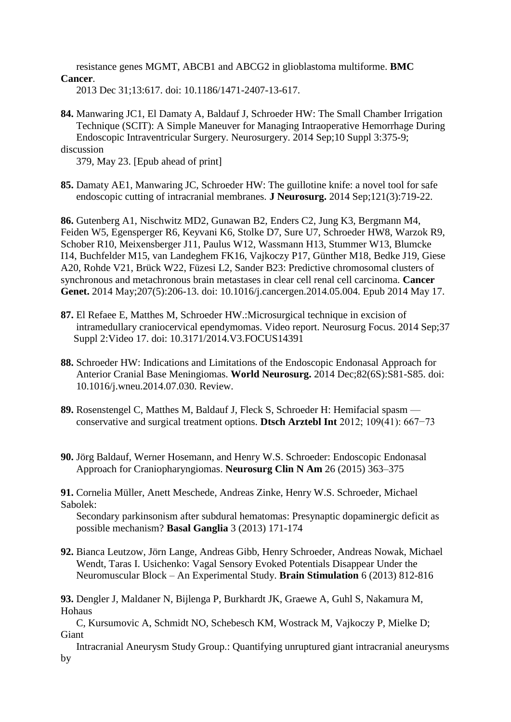resistance genes MGMT, ABCB1 and ABCG2 in glioblastoma multiforme. **BMC Cancer**.

2013 Dec 31;13:617. doi: 10.1186/1471-2407-13-617.

**84.** Manwaring JC1, El Damaty A, Baldauf J, Schroeder HW: The Small Chamber Irrigation Technique (SCIT): A Simple Maneuver for Managing Intraoperative Hemorrhage During Endoscopic Intraventricular Surgery. Neurosurgery. 2014 Sep;10 Suppl 3:375-9; discussion

379, May 23. [Epub ahead of print]

**85.** Damaty AE1, Manwaring JC, Schroeder HW: The guillotine knife: a novel tool for safe endoscopic cutting of intracranial membranes. **J Neurosurg.** 2014 Sep;121(3):719-22.

**86.** Gutenberg A1, Nischwitz MD2, Gunawan B2, Enders C2, Jung K3, Bergmann M4, Feiden W5, Egensperger R6, Keyvani K6, Stolke D7, Sure U7, Schroeder HW8, Warzok R9, Schober R10, Meixensberger J11, Paulus W12, Wassmann H13, Stummer W13, Blumcke I14, Buchfelder M15, van Landeghem FK16, Vajkoczy P17, Günther M18, Bedke J19, Giese A20, Rohde V21, Brück W22, Füzesi L2, Sander B23: Predictive chromosomal clusters of synchronous and metachronous brain metastases in clear cell renal cell carcinoma. **Cancer Genet.** 2014 May;207(5):206-13. doi: 10.1016/j.cancergen.2014.05.004. Epub 2014 May 17.

- **87.** El Refaee E, Matthes M, Schroeder HW.:Microsurgical technique in excision of intramedullary craniocervical ependymomas. Video report. Neurosurg Focus. 2014 Sep;37 Suppl 2:Video 17. doi: 10.3171/2014.V3.FOCUS14391
- **88.** Schroeder HW: Indications and Limitations of the Endoscopic Endonasal Approach for Anterior Cranial Base Meningiomas. **World Neurosurg.** 2014 Dec;82(6S):S81-S85. doi: 10.1016/j.wneu.2014.07.030. Review.
- **89.** Rosenstengel C, Matthes M, Baldauf J, Fleck S, Schroeder H: Hemifacial spasm conservative and surgical treatment options. **Dtsch Arztebl Int** 2012; 109(41): 667−73
- **90.** Jörg Baldauf, Werner Hosemann, and Henry W.S. Schroeder: Endoscopic Endonasal Approach for Craniopharyngiomas. **Neurosurg Clin N Am** 26 (2015) 363–375

**91.** Cornelia Müller, Anett Meschede, Andreas Zinke, Henry W.S. Schroeder, Michael Sabolek:

 Secondary parkinsonism after subdural hematomas: Presynaptic dopaminergic deficit as possible mechanism? **Basal Ganglia** 3 (2013) 171-174

**92.** Bianca Leutzow, Jörn Lange, Andreas Gibb, Henry Schroeder, Andreas Nowak, Michael Wendt, Taras I. Usichenko: Vagal Sensory Evoked Potentials Disappear Under the Neuromuscular Block – An Experimental Study. **Brain Stimulation** 6 (2013) 812-816

**93.** Dengler J, Maldaner N, Bijlenga P, Burkhardt JK, Graewe A, Guhl S, Nakamura M, Hohaus

 C, Kursumovic A, Schmidt NO, Schebesch KM, Wostrack M, Vajkoczy P, Mielke D; Giant

 Intracranial Aneurysm Study Group.: Quantifying unruptured giant intracranial aneurysms by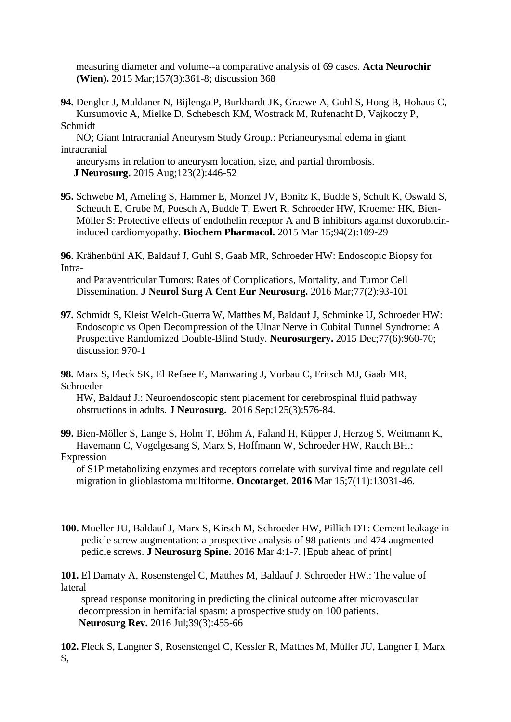measuring diameter and volume--a comparative analysis of 69 cases. **Acta Neurochir (Wien).** 2015 Mar;157(3):361-8; discussion 368

**94.** Dengler J, Maldaner N, Bijlenga P, Burkhardt JK, Graewe A, Guhl S, Hong B, Hohaus C, Kursumovic A, Mielke D, Schebesch KM, Wostrack M, Rufenacht D, Vajkoczy P, Schmidt

 NO; Giant Intracranial Aneurysm Study Group.: Perianeurysmal edema in giant intracranial

 aneurysms in relation to aneurysm location, size, and partial thrombosis. **J Neurosurg.** 2015 Aug;123(2):446-52

**95.** Schwebe M, Ameling S, Hammer E, Monzel JV, Bonitz K, Budde S, Schult K, Oswald S, Scheuch E, Grube M, Poesch A, Budde T, Ewert R, Schroeder HW, Kroemer HK, Bien- Möller S: Protective effects of endothelin receptor A and B inhibitors against doxorubicin induced cardiomyopathy. **Biochem Pharmacol.** 2015 Mar 15;94(2):109-29

**96.** Krähenbühl AK, Baldauf J, Guhl S, Gaab MR, Schroeder HW: Endoscopic Biopsy for Intra-

 and Paraventricular Tumors: Rates of Complications, Mortality, and Tumor Cell Dissemination. **J Neurol Surg A Cent Eur Neurosurg.** 2016 Mar;77(2):93-101

**97.** Schmidt S, Kleist Welch-Guerra W, Matthes M, Baldauf J, Schminke U, Schroeder HW: Endoscopic vs Open Decompression of the Ulnar Nerve in Cubital Tunnel Syndrome: A Prospective Randomized Double-Blind Study. **Neurosurgery.** 2015 Dec;77(6):960-70; discussion 970-1

**98.** Marx S, Fleck SK, El Refaee E, Manwaring J, Vorbau C, Fritsch MJ, Gaab MR, Schroeder

 HW, Baldauf J.: Neuroendoscopic stent placement for cerebrospinal fluid pathway obstructions in adults. **J Neurosurg.** 2016 Sep;125(3):576-84.

**99.** Bien-Möller S, Lange S, Holm T, Böhm A, Paland H, Küpper J, Herzog S, Weitmann K, Havemann C, Vogelgesang S, Marx S, Hoffmann W, Schroeder HW, Rauch BH.: **Expression** 

 of S1P metabolizing enzymes and receptors correlate with survival time and regulate cell migration in glioblastoma multiforme. **Oncotarget. 2016** Mar 15;7(11):13031-46.

**100.** Mueller JU, Baldauf J, Marx S, Kirsch M, Schroeder HW, Pillich DT: Cement leakage in pedicle screw augmentation: a prospective analysis of 98 patients and 474 augmented pedicle screws. **J Neurosurg Spine.** 2016 Mar 4:1-7. [Epub ahead of print]

**101.** El Damaty A, Rosenstengel C, Matthes M, Baldauf J, Schroeder HW.: The value of lateral

 spread response monitoring in predicting the clinical outcome after microvascular decompression in hemifacial spasm: a prospective study on 100 patients. **Neurosurg Rev.** 2016 Jul;39(3):455-66

**102.** Fleck S, Langner S, Rosenstengel C, Kessler R, Matthes M, Müller JU, Langner I, Marx S,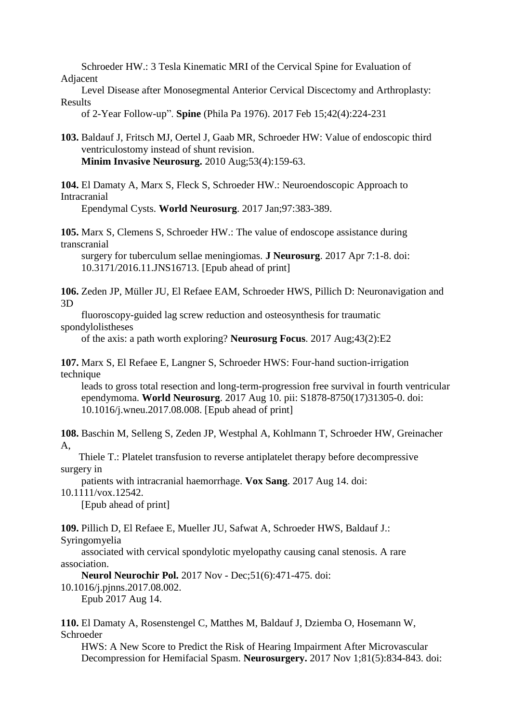Schroeder HW.: 3 Tesla Kinematic MRI of the Cervical Spine for Evaluation of

Adjacent

 Level Disease after Monosegmental Anterior Cervical Discectomy and Arthroplasty: Results

of 2-Year Follow-up". **Spine** (Phila Pa 1976). 2017 Feb 15;42(4):224-231

**103.** Baldauf J, Fritsch MJ, Oertel J, Gaab MR, Schroeder HW: Value of endoscopic third ventriculostomy instead of shunt revision. **Minim Invasive Neurosurg.** 2010 Aug;53(4):159-63.

**104.** El Damaty A, Marx S, Fleck S, Schroeder HW.: Neuroendoscopic Approach to Intracranial

Ependymal Cysts. **World Neurosurg**. 2017 Jan;97:383-389.

**105.** Marx S, Clemens S, Schroeder HW.: The value of endoscope assistance during transcranial

 surgery for tuberculum sellae meningiomas. **J Neurosurg**. 2017 Apr 7:1-8. doi: 10.3171/2016.11.JNS16713. [Epub ahead of print]

**106.** Zeden JP, Müller JU, El Refaee EAM, Schroeder HWS, Pillich D: Neuronavigation and 3D

 fluoroscopy-guided lag screw reduction and osteosynthesis for traumatic spondylolistheses

of the axis: a path worth exploring? **Neurosurg Focus**. 2017 Aug;43(2):E2

**107.** Marx S, El Refaee E, Langner S, Schroeder HWS: Four-hand suction-irrigation technique

 leads to gross total resection and long-term-progression free survival in fourth ventricular ependymoma. **World Neurosurg**. 2017 Aug 10. pii: S1878-8750(17)31305-0. doi: 10.1016/j.wneu.2017.08.008. [Epub ahead of print]

**108.** Baschin M, Selleng S, Zeden JP, Westphal A, Kohlmann T, Schroeder HW, Greinacher A,

 Thiele T.: Platelet transfusion to reverse antiplatelet therapy before decompressive surgery in

patients with intracranial haemorrhage. **Vox Sang**. 2017 Aug 14. doi:

10.1111/vox.12542.

[Epub ahead of print]

**109.** Pillich D, El Refaee E, Mueller JU, Safwat A, Schroeder HWS, Baldauf J.: Syringomyelia

 associated with cervical spondylotic myelopathy causing canal stenosis. A rare association.

**Neurol Neurochir Pol.** 2017 Nov - Dec;51(6):471-475. doi:

10.1016/j.pjnns.2017.08.002.

Epub 2017 Aug 14.

**110.** El Damaty A, Rosenstengel C, Matthes M, Baldauf J, Dziemba O, Hosemann W, Schroeder

 HWS: A New Score to Predict the Risk of Hearing Impairment After Microvascular Decompression for Hemifacial Spasm. **Neurosurgery.** 2017 Nov 1;81(5):834-843. doi: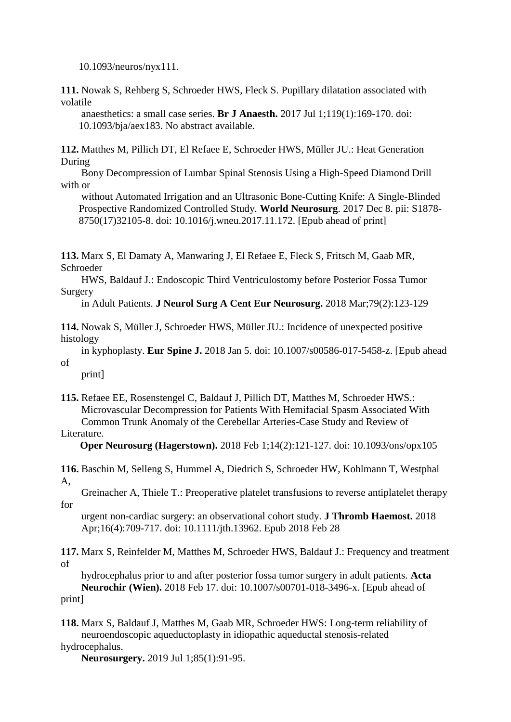10.1093/neuros/nyx111.

**111.** Nowak S, Rehberg S, Schroeder HWS, Fleck S. Pupillary dilatation associated with volatile

 anaesthetics: a small case series. **Br J Anaesth.** 2017 Jul 1;119(1):169-170. doi: 10.1093/bja/aex183. No abstract available.

**112.** Matthes M, Pillich DT, El Refaee E, Schroeder HWS, Müller JU.: Heat Generation During

 Bony Decompression of Lumbar Spinal Stenosis Using a High-Speed Diamond Drill with or

 without Automated Irrigation and an Ultrasonic Bone-Cutting Knife: A Single-Blinded Prospective Randomized Controlled Study. **World Neurosurg**. 2017 Dec 8. pii: S1878- 8750(17)32105-8. doi: 10.1016/j.wneu.2017.11.172. [Epub ahead of print]

**113.** Marx S, El Damaty A, Manwaring J, El Refaee E, Fleck S, Fritsch M, Gaab MR, Schroeder

 HWS, Baldauf J.: Endoscopic Third Ventriculostomy before Posterior Fossa Tumor Surgery

in Adult Patients. **J Neurol Surg A Cent Eur Neurosurg.** 2018 Mar;79(2):123-129

**114.** Nowak S, Müller J, Schroeder HWS, Müller JU.: Incidence of unexpected positive histology

 in kyphoplasty. **Eur Spine J.** 2018 Jan 5. doi: 10.1007/s00586-017-5458-z. [Epub ahead of

print]

**115.** Refaee EE, Rosenstengel C, Baldauf J, Pillich DT, Matthes M, Schroeder HWS.: Microvascular Decompression for Patients With Hemifacial Spasm Associated With Common Trunk Anomaly of the Cerebellar Arteries-Case Study and Review of

### Literature.

**Oper Neurosurg (Hagerstown).** 2018 Feb 1;14(2):121-127. doi: 10.1093/ons/opx105

**116.** Baschin M, Selleng S, Hummel A, Diedrich S, Schroeder HW, Kohlmann T, Westphal A,

 Greinacher A, Thiele T.: Preoperative platelet transfusions to reverse antiplatelet therapy for

 urgent non-cardiac surgery: an observational cohort study. **J Thromb Haemost.** 2018 Apr;16(4):709-717. doi: 10.1111/jth.13962. Epub 2018 Feb 28

**117.** Marx S, Reinfelder M, Matthes M, Schroeder HWS, Baldauf J.: Frequency and treatment of

 hydrocephalus prior to and after posterior fossa tumor surgery in adult patients. **Acta Neurochir (Wien).** 2018 Feb 17. doi: 10.1007/s00701-018-3496-x. [Epub ahead of print]

**118.** Marx S, Baldauf J, Matthes M, Gaab MR, Schroeder HWS: Long-term reliability of neuroendoscopic aqueductoplasty in idiopathic aqueductal stenosis-related hydrocephalus.

**Neurosurgery.** 2019 Jul 1;85(1):91-95.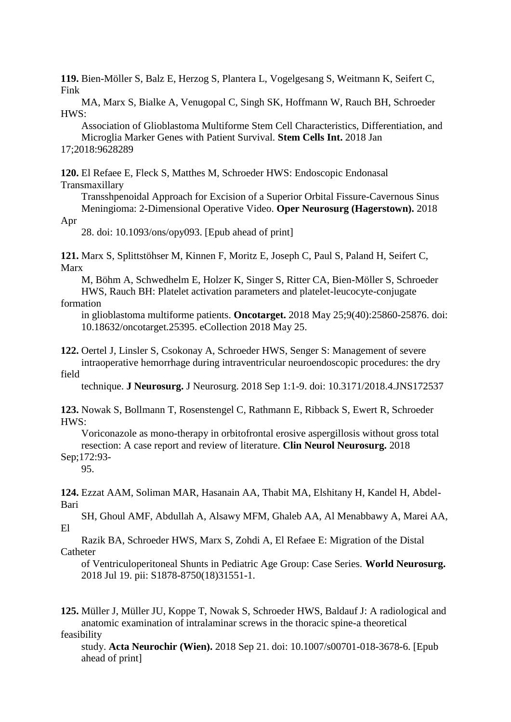**119.** Bien-Möller S, Balz E, Herzog S, Plantera L, Vogelgesang S, Weitmann K, Seifert C, Fink

 MA, Marx S, Bialke A, Venugopal C, Singh SK, Hoffmann W, Rauch BH, Schroeder HWS:

 Association of Glioblastoma Multiforme Stem Cell Characteristics, Differentiation, and Microglia Marker Genes with Patient Survival. **Stem Cells Int.** 2018 Jan 17;2018:9628289

**120.** El Refaee E, Fleck S, Matthes M, Schroeder HWS: Endoscopic Endonasal Transmaxillary

 Transshpenoidal Approach for Excision of a Superior Orbital Fissure-Cavernous Sinus Meningioma: 2-Dimensional Operative Video. **Oper Neurosurg (Hagerstown).** 2018

Apr

28. doi: 10.1093/ons/opy093. [Epub ahead of print]

**121.** Marx S, Splittstöhser M, Kinnen F, Moritz E, Joseph C, Paul S, Paland H, Seifert C, Marx

 M, Böhm A, Schwedhelm E, Holzer K, Singer S, Ritter CA, Bien-Möller S, Schroeder HWS, Rauch BH: Platelet activation parameters and platelet-leucocyte-conjugate formation

 in glioblastoma multiforme patients. **Oncotarget.** 2018 May 25;9(40):25860-25876. doi: 10.18632/oncotarget.25395. eCollection 2018 May 25.

**122.** Oertel J, Linsler S, Csokonay A, Schroeder HWS, Senger S: Management of severe intraoperative hemorrhage during intraventricular neuroendoscopic procedures: the dry

field

technique. **J Neurosurg.** J Neurosurg. 2018 Sep 1:1-9. doi: 10.3171/2018.4.JNS172537

**123.** Nowak S, Bollmann T, Rosenstengel C, Rathmann E, Ribback S, Ewert R, Schroeder HWS:

 Voriconazole as mono-therapy in orbitofrontal erosive aspergillosis without gross total resection: A case report and review of literature. **Clin Neurol Neurosurg.** 2018 Sep;172:93-

95.

**124.** Ezzat AAM, Soliman MAR, Hasanain AA, Thabit MA, Elshitany H, Kandel H, Abdel-Bari

 SH, Ghoul AMF, Abdullah A, Alsawy MFM, Ghaleb AA, Al Menabbawy A, Marei AA, El

 Razik BA, Schroeder HWS, Marx S, Zohdi A, El Refaee E: Migration of the Distal Catheter

 of Ventriculoperitoneal Shunts in Pediatric Age Group: Case Series. **World Neurosurg.** 2018 Jul 19. pii: S1878-8750(18)31551-1.

**125.** Müller J, Müller JU, Koppe T, Nowak S, Schroeder HWS, Baldauf J: A radiological and anatomic examination of intralaminar screws in the thoracic spine-a theoretical feasibility

 study. **Acta Neurochir (Wien).** 2018 Sep 21. doi: 10.1007/s00701-018-3678-6. [Epub ahead of print]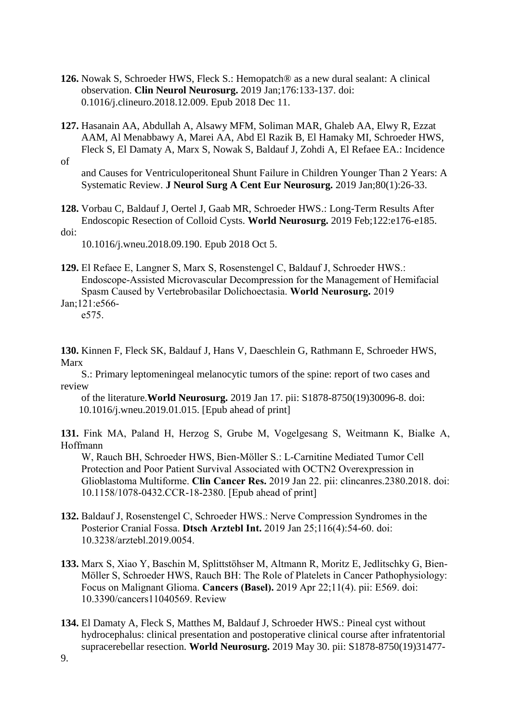- **126.** Nowak S, Schroeder HWS, Fleck S.: Hemopatch® as a new dural sealant: A clinical observation. **Clin Neurol Neurosurg.** 2019 Jan;176:133-137. doi: 0.1016/j.clineuro.2018.12.009. Epub 2018 Dec 11.
- **127.** Hasanain AA, Abdullah A, Alsawy MFM, Soliman MAR, Ghaleb AA, Elwy R, Ezzat AAM, Al Menabbawy A, Marei AA, Abd El Razik B, El Hamaky MI, Schroeder HWS, Fleck S, El Damaty A, Marx S, Nowak S, Baldauf J, Zohdi A, El Refaee EA.: Incidence of

 and Causes for Ventriculoperitoneal Shunt Failure in Children Younger Than 2 Years: A Systematic Review. **J Neurol Surg A Cent Eur Neurosurg.** 2019 Jan;80(1):26-33.

**128.** Vorbau C, Baldauf J, Oertel J, Gaab MR, Schroeder HWS.: Long-Term Results After Endoscopic Resection of Colloid Cysts. **World Neurosurg.** 2019 Feb;122:e176-e185. doi:

10.1016/j.wneu.2018.09.190. Epub 2018 Oct 5.

**129.** El Refaee E, Langner S, Marx S, Rosenstengel C, Baldauf J, Schroeder HWS.: Endoscope-Assisted Microvascular Decompression for the Management of Hemifacial Spasm Caused by Vertebrobasilar Dolichoectasia. **World Neurosurg.** 2019 Jan;121:e566-

e575.

**130.** Kinnen F, Fleck SK, Baldauf J, Hans V, Daeschlein G, Rathmann E, Schroeder HWS, Marx

 S.: Primary leptomeningeal melanocytic tumors of the spine: report of two cases and review

 of the literature.**World Neurosurg.** 2019 Jan 17. pii: S1878-8750(19)30096-8. doi: 10.1016/j.wneu.2019.01.015. [Epub ahead of print]

**131.** Fink MA, Paland H, Herzog S, Grube M, Vogelgesang S, Weitmann K, Bialke A, Hoffmann

 W, Rauch BH, Schroeder HWS, Bien-Möller S.: L-Carnitine Mediated Tumor Cell Protection and Poor Patient Survival Associated with OCTN2 Overexpression in Glioblastoma Multiforme. **Clin Cancer Res.** 2019 Jan 22. pii: clincanres.2380.2018. doi: 10.1158/1078-0432.CCR-18-2380. [Epub ahead of print]

- **132.** Baldauf J, Rosenstengel C, Schroeder HWS.: Nerve Compression Syndromes in the Posterior Cranial Fossa. **Dtsch Arztebl Int.** 2019 Jan 25;116(4):54-60. doi: 10.3238/arztebl.2019.0054.
- **133.** Marx S, Xiao Y, Baschin M, Splittstöhser M, Altmann R, Moritz E, Jedlitschky G, Bien- Möller S, Schroeder HWS, Rauch BH: The Role of Platelets in Cancer Pathophysiology: Focus on Malignant Glioma. **Cancers (Basel).** 2019 Apr 22;11(4). pii: E569. doi: 10.3390/cancers11040569. Review
- **134.** El Damaty A, Fleck S, Matthes M, Baldauf J, Schroeder HWS.: Pineal cyst without hydrocephalus: clinical presentation and postoperative clinical course after infratentorial supracerebellar resection. **World Neurosurg.** 2019 May 30. pii: S1878-8750(19)31477-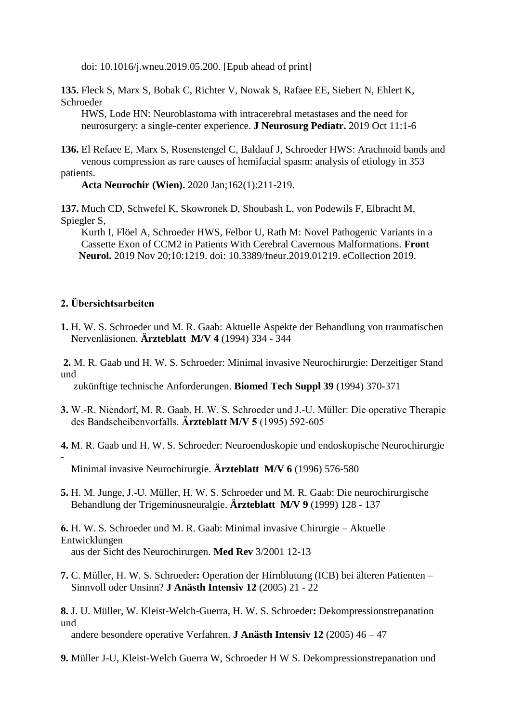doi: 10.1016/j.wneu.2019.05.200. [Epub ahead of print]

**135.** Fleck S, Marx S, Bobak C, Richter V, Nowak S, Rafaee EE, Siebert N, Ehlert K, Schroeder

 HWS, Lode HN: Neuroblastoma with intracerebral metastases and the need for neurosurgery: a single-center experience. **J Neurosurg Pediatr.** 2019 Oct 11:1-6

**136.** El Refaee E, Marx S, Rosenstengel C, Baldauf J, Schroeder HWS: Arachnoid bands and venous compression as rare causes of hemifacial spasm: analysis of etiology in 353

**Acta Neurochir (Wien).** 2020 Jan;162(1):211-219.

**137.** Much CD, Schwefel K, Skowronek D, Shoubash L, von Podewils F, Elbracht M, Spiegler S,

 Kurth I, Flöel A, Schroeder HWS, Felbor U, Rath M: Novel Pathogenic Variants in a Cassette Exon of CCM2 in Patients With Cerebral Cavernous Malformations. **Front Neurol.** 2019 Nov 20;10:1219. doi: 10.3389/fneur.2019.01219. eCollection 2019.

#### **2. Übersichtsarbeiten**

patients.

-

- **1.** H. W. S. Schroeder und M. R. Gaab: Aktuelle Aspekte der Behandlung von traumatischen Nervenläsionen. **Ärzteblatt M/V 4** (1994) 334 - 344
- **2.** M. R. Gaab und H. W. S. Schroeder: Minimal invasive Neurochirurgie: Derzeitiger Stand und

zukünftige technische Anforderungen. **Biomed Tech Suppl 39** (1994) 370-371

- **3.** W.-R. Niendorf, M. R. Gaab, H. W. S. Schroeder und J.-U. Müller: Die operative Therapie des Bandscheibenvorfalls. **Ärzteblatt M/V 5** (1995) 592-605
- **4.** M. R. Gaab und H. W. S. Schroeder: Neuroendoskopie und endoskopische Neurochirurgie

Minimal invasive Neurochirurgie. **Ärzteblatt M/V 6** (1996) 576-580

**5.** H. M. Junge, J.-U. Müller, H. W. S. Schroeder und M. R. Gaab: Die neurochirurgische Behandlung der Trigeminusneuralgie. **Ärzteblatt M/V 9** (1999) 128 - 137

**6.** H. W. S. Schroeder und M. R. Gaab: Minimal invasive Chirurgie – Aktuelle Entwicklungen aus der Sicht des Neurochirurgen. **Med Rev** 3/2001 12-13

- **7.** C. Müller, H. W. S. Schroeder**:** Operation der Hirnblutung (ICB) bei älteren Patienten Sinnvoll oder Unsinn? **J Anästh Intensiv 12** (2005) 21 - 22
- **8.** J. U. Müller, W. Kleist-Welch-Guerra, H. W. S. Schroeder**:** Dekompressionstrepanation und

andere besondere operative Verfahren. **J Anästh Intensiv 12** (2005) 46 – 47

**9.** Müller J-U, Kleist-Welch Guerra W, Schroeder H W S. Dekompressionstrepanation und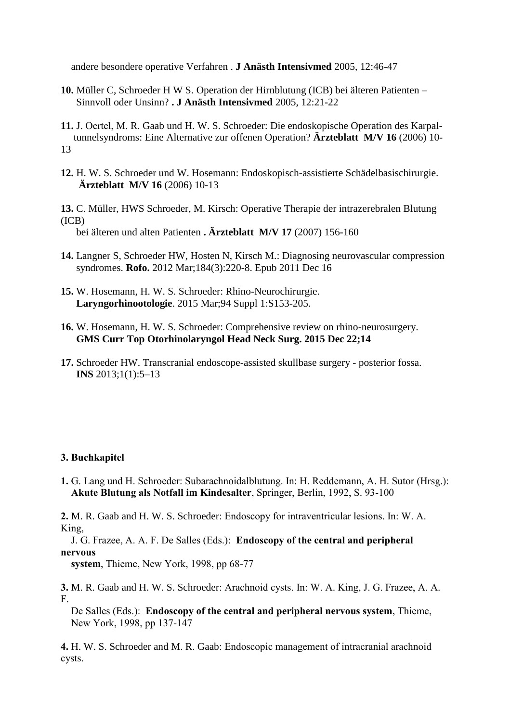andere besondere operative Verfahren . **J Anästh Intensivmed** 2005, 12:46-47

- **10.** Müller C, Schroeder H W S. Operation der Hirnblutung (ICB) bei älteren Patienten Sinnvoll oder Unsinn? **. J Anästh Intensivmed** 2005, 12:21-22
- **11.** J. Oertel, M. R. Gaab und H. W. S. Schroeder: Die endoskopische Operation des Karpal tunnelsyndroms: Eine Alternative zur offenen Operation? **Ärzteblatt M/V 16** (2006) 10- 13
- **12.** H. W. S. Schroeder und W. Hosemann: Endoskopisch-assistierte Schädelbasischirurgie. **Ärzteblatt M/V 16** (2006) 10-13
- **13.** C. Müller, HWS Schroeder, M. Kirsch: Operative Therapie der intrazerebralen Blutung (ICB)

bei älteren und alten Patienten **. Ärzteblatt M/V 17** (2007) 156-160

- **14.** Langner S, Schroeder HW, Hosten N, Kirsch M.: Diagnosing neurovascular compression syndromes. **Rofo.** 2012 Mar;184(3):220-8. Epub 2011 Dec 16
- **15.** W. Hosemann, H. W. S. Schroeder: Rhino-Neurochirurgie. **Laryngorhinootologie**. 2015 Mar;94 Suppl 1:S153-205.
- **16.** W. Hosemann, H. W. S. Schroeder: Comprehensive review on rhino-neurosurgery. **GMS Curr Top Otorhinolaryngol Head Neck Surg. 2015 Dec 22;14**
- **17.** Schroeder HW. Transcranial endoscope-assisted skullbase surgery posterior fossa. **INS** 2013;1(1):5–13

#### **3. Buchkapitel**

**1.** G. Lang und H. Schroeder: Subarachnoidalblutung. In: H. Reddemann, A. H. Sutor (Hrsg.): **Akute Blutung als Notfall im Kindesalter**, Springer, Berlin, 1992, S. 93-100

**2.** M. R. Gaab and H. W. S. Schroeder: Endoscopy for intraventricular lesions. In: W. A. King,

 J. G. Frazee, A. A. F. De Salles (Eds.): **Endoscopy of the central and peripheral nervous** 

 **system**, Thieme, New York, 1998, pp 68-77

**3.** M. R. Gaab and H. W. S. Schroeder: Arachnoid cysts. In: W. A. King, J. G. Frazee, A. A. F.

 De Salles (Eds.): **Endoscopy of the central and peripheral nervous system**, Thieme, New York, 1998, pp 137-147

**4.** H. W. S. Schroeder and M. R. Gaab: Endoscopic management of intracranial arachnoid cysts.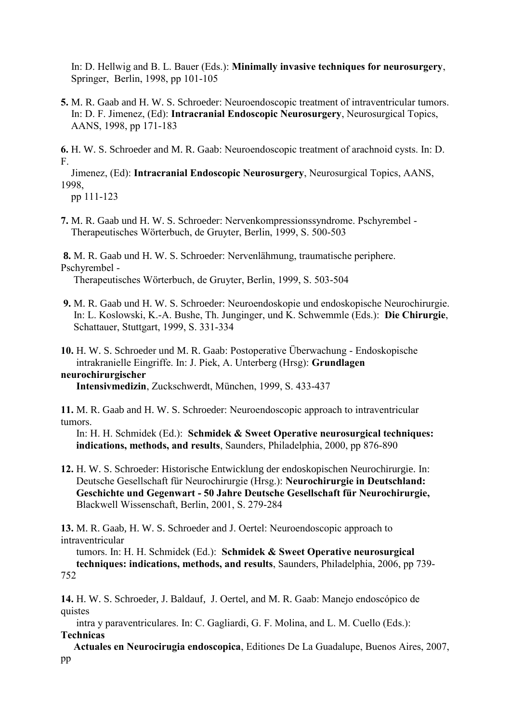In: D. Hellwig and B. L. Bauer (Eds.): **Minimally invasive techniques for neurosurgery**, Springer, Berlin, 1998, pp 101-105

**5.** M. R. Gaab and H. W. S. Schroeder: Neuroendoscopic treatment of intraventricular tumors. In: D. F. Jimenez, (Ed): **Intracranial Endoscopic Neurosurgery**, Neurosurgical Topics, AANS, 1998, pp 171-183

**6.** H. W. S. Schroeder and M. R. Gaab: Neuroendoscopic treatment of arachnoid cysts. In: D. F.

 Jimenez, (Ed): **Intracranial Endoscopic Neurosurgery**, Neurosurgical Topics, AANS, 1998,

pp 111-123

**7.** M. R. Gaab und H. W. S. Schroeder: Nervenkompressionssyndrome. Pschyrembel - Therapeutisches Wörterbuch, de Gruyter, Berlin, 1999, S. 500-503

**8.** M. R. Gaab und H. W. S. Schroeder: Nervenlähmung, traumatische periphere. Pschyrembel -

Therapeutisches Wörterbuch, de Gruyter, Berlin, 1999, S. 503-504

- **9.** M. R. Gaab und H. W. S. Schroeder: Neuroendoskopie und endoskopische Neurochirurgie. In: L. Koslowski, K.-A. Bushe, Th. Junginger, und K. Schwemmle (Eds.): **Die Chirurgie**, Schattauer, Stuttgart, 1999, S. 331-334
- **10.** H. W. S. Schroeder und M. R. Gaab: Postoperative Überwachung Endoskopische intrakranielle Eingriffe. In: J. Piek, A. Unterberg (Hrsg): **Grundlagen**

### **neurochirurgischer**

 **Intensivmedizin**, Zuckschwerdt, München, 1999, S. 433-437

**11.** M. R. Gaab and H. W. S. Schroeder: Neuroendoscopic approach to intraventricular tumors.

 In: H. H. Schmidek (Ed.): **Schmidek & Sweet Operative neurosurgical techniques: indications, methods, and results**, Saunders, Philadelphia, 2000, pp 876-890

**12.** H. W. S. Schroeder: Historische Entwicklung der endoskopischen Neurochirurgie. In: Deutsche Gesellschaft für Neurochirurgie (Hrsg.): **Neurochirurgie in Deutschland: Geschichte und Gegenwart - 50 Jahre Deutsche Gesellschaft für Neurochirurgie,** Blackwell Wissenschaft, Berlin, 2001, S. 279-284

**13.** M. R. Gaab, H. W. S. Schroeder and J. Oertel: Neuroendoscopic approach to intraventricular

 tumors. In: H. H. Schmidek (Ed.): **Schmidek & Sweet Operative neurosurgical techniques: indications, methods, and results**, Saunders, Philadelphia, 2006, pp 739- 752

**14.** H. W. S. Schroeder, J. Baldauf, J. Oertel, and M. R. Gaab: Manejo endoscópico de quistes

 intra y paraventriculares. In: C. Gagliardi, G. F. Molina, and L. M. Cuello (Eds.): **Technicas** 

 **Actuales en Neurocirugia endoscopica**, Editiones De La Guadalupe, Buenos Aires, 2007, pp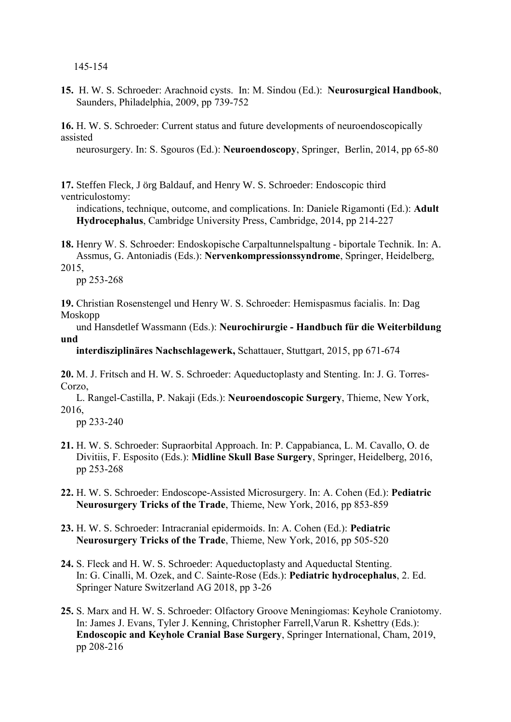145-154

**15.** H. W. S. Schroeder: Arachnoid cysts. In: M. Sindou (Ed.): **Neurosurgical Handbook**, Saunders, Philadelphia, 2009, pp 739-752

**16.** H. W. S. Schroeder: Current status and future developments of neuroendoscopically assisted

neurosurgery. In: S. Sgouros (Ed.): **Neuroendoscopy**, Springer, Berlin, 2014, pp 65-80

**17.** Steffen Fleck, J örg Baldauf, and Henry W. S. Schroeder: Endoscopic third ventriculostomy:

 indications, technique, outcome, and complications. In: Daniele Rigamonti (Ed.): **Adult Hydrocephalus**, Cambridge University Press, Cambridge, 2014, pp 214-227

**18.** Henry W. S. Schroeder: Endoskopische Carpaltunnelspaltung - biportale Technik. In: A. Assmus, G. Antoniadis (Eds.): **Nervenkompressionssyndrome**, Springer, Heidelberg,

2015,

pp 253-268

**19.** Christian Rosenstengel und Henry W. S. Schroeder: Hemispasmus facialis. In: Dag Moskopp

 und Hansdetlef Wassmann (Eds.): **Neurochirurgie - Handbuch für die Weiterbildung und** 

 **interdisziplinäres Nachschlagewerk,** Schattauer, Stuttgart, 2015, pp 671-674

**20.** M. J. Fritsch and H. W. S. Schroeder: Aqueductoplasty and Stenting. In: J. G. Torres-Corzo,

 L. Rangel-Castilla, P. Nakaji (Eds.): **Neuroendoscopic Surgery**, Thieme, New York, 2016,

pp 233-240

- **21.** H. W. S. Schroeder: Supraorbital Approach. In: P. Cappabianca, L. M. Cavallo, O. de Divitiis, F. Esposito (Eds.): **Midline Skull Base Surgery**, Springer, Heidelberg, 2016, pp 253-268
- **22.** H. W. S. Schroeder: Endoscope-Assisted Microsurgery. In: A. Cohen (Ed.): **Pediatric Neurosurgery Tricks of the Trade**, Thieme, New York, 2016, pp 853-859
- **23.** H. W. S. Schroeder: Intracranial epidermoids. In: A. Cohen (Ed.): **Pediatric Neurosurgery Tricks of the Trade**, Thieme, New York, 2016, pp 505-520
- **24.** S. Fleck and H. W. S. Schroeder: Aqueductoplasty and Aqueductal Stenting. In: G. Cinalli, M. Ozek, and C. Sainte-Rose (Eds.): **Pediatric hydrocephalus**, 2. Ed. Springer Nature Switzerland AG 2018, pp 3-26
- **25.** S. Marx and H. W. S. Schroeder: Olfactory Groove Meningiomas: Keyhole Craniotomy. In: James J. Evans, Tyler J. Kenning, Christopher Farrell,Varun R. Kshettry (Eds.): **Endoscopic and Keyhole Cranial Base Surgery**, Springer International, Cham, 2019, pp 208-216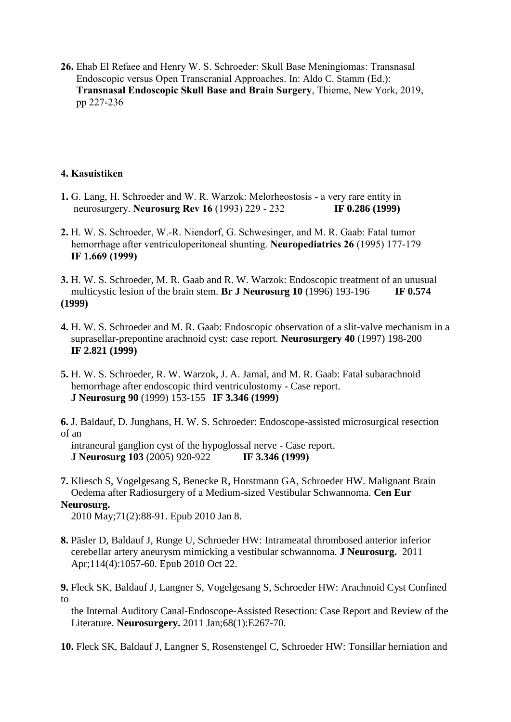**26.** Ehab El Refaee and Henry W. S. Schroeder: Skull Base Meningiomas: Transnasal Endoscopic versus Open Transcranial Approaches. In: Aldo C. Stamm (Ed.): **Transnasal Endoscopic Skull Base and Brain Surgery**, Thieme, New York, 2019, pp 227-236

# **4. Kasuistiken**

- **1.** G. Lang, H. Schroeder and W. R. Warzok: Melorheostosis a very rare entity in neurosurgery. **Neurosurg Rev 16** (1993) 229 - 232 **IF 0.286 (1999)**
- **2.** H. W. S. Schroeder, W.-R. Niendorf, G. Schwesinger, and M. R. Gaab: Fatal tumor hemorrhage after ventriculoperitoneal shunting. **Neuropediatrics 26** (1995) 177-179 **IF 1.669 (1999)**
- **3.** H. W. S. Schroeder, M. R. Gaab and R. W. Warzok: Endoscopic treatment of an unusual multicystic lesion of the brain stem. **Br J Neurosurg 10** (1996) 193-196 **IF 0.574 (1999)**
- **4.** H. W. S. Schroeder and M. R. Gaab: Endoscopic observation of a slit-valve mechanism in a suprasellar-prepontine arachnoid cyst: case report. **Neurosurgery 40** (1997) 198-200 **IF 2.821 (1999)**
- **5.** H. W. S. Schroeder, R. W. Warzok, J. A. Jamal, and M. R. Gaab: Fatal subarachnoid hemorrhage after endoscopic third ventriculostomy - Case report. **J Neurosurg 90** (1999) 153-155 **IF 3.346 (1999)**
- **6.** J. Baldauf, D. Junghans, H. W. S. Schroeder: Endoscope-assisted microsurgical resection of an

 intraneural ganglion cyst of the hypoglossal nerve - Case report. **J Neurosurg 103** (2005) 920-922 **IF 3.346 (1999)**

**7.** Kliesch S, Vogelgesang S, Benecke R, Horstmann GA, Schroeder HW. Malignant Brain Oedema after Radiosurgery of a Medium-sized Vestibular Schwannoma. **Cen Eur Neurosurg.** 

2010 May;71(2):88-91. Epub 2010 Jan 8.

- **8.** Päsler D, Baldauf J, Runge U, Schroeder HW: Intrameatal thrombosed anterior inferior cerebellar artery aneurysm mimicking a vestibular schwannoma. **J Neurosurg.** 2011 Apr;114(4):1057-60. Epub 2010 Oct 22.
- **9.** Fleck SK, Baldauf J, Langner S, Vogelgesang S, Schroeder HW: Arachnoid Cyst Confined to

 the Internal Auditory Canal-Endoscope-Assisted Resection: Case Report and Review of the Literature. **Neurosurgery.** 2011 Jan;68(1):E267-70.

**10.** Fleck SK, Baldauf J, Langner S, Rosenstengel C, Schroeder HW: Tonsillar herniation and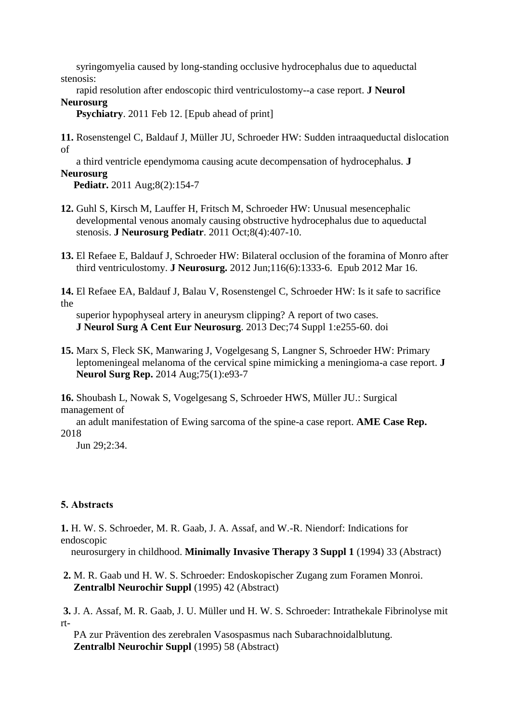syringomyelia caused by long-standing occlusive hydrocephalus due to aqueductal stenosis:

 rapid resolution after endoscopic third ventriculostomy--a case report. **J Neurol Neurosurg**

**Psychiatry**. 2011 Feb 12. [Epub ahead of print]

**11.** Rosenstengel C, Baldauf J, Müller JU, Schroeder HW: Sudden intraaqueductal dislocation of

 a third ventricle ependymoma causing acute decompensation of hydrocephalus. **J Neurosurg** 

 **Pediatr.** 2011 Aug;8(2):154-7

- **12.** Guhl S, Kirsch M, Lauffer H, Fritsch M, Schroeder HW: Unusual mesencephalic developmental venous anomaly causing obstructive hydrocephalus due to aqueductal stenosis. **J Neurosurg Pediatr**. 2011 Oct;8(4):407-10.
- **13.** El Refaee E, Baldauf J, Schroeder HW: Bilateral occlusion of the foramina of Monro after third ventriculostomy. **J Neurosurg.** 2012 Jun;116(6):1333-6. Epub 2012 Mar 16.

**14.** El Refaee EA, Baldauf J, Balau V, Rosenstengel C, Schroeder HW: Is it safe to sacrifice the

 superior hypophyseal artery in aneurysm clipping? A report of two cases. **J Neurol Surg A Cent Eur Neurosurg**. 2013 Dec;74 Suppl 1:e255-60. doi

**15.** Marx S, Fleck SK, Manwaring J, Vogelgesang S, Langner S, Schroeder HW: Primary leptomeningeal melanoma of the cervical spine mimicking a meningioma-a case report. **J Neurol Surg Rep.** 2014 Aug;75(1):e93-7

**16.** Shoubash L, Nowak S, Vogelgesang S, Schroeder HWS, Müller JU.: Surgical management of

 an adult manifestation of Ewing sarcoma of the spine-a case report. **AME Case Rep.** 2018

Jun 29;2:34.

# **5. Abstracts**

**1.** H. W. S. Schroeder, M. R. Gaab, J. A. Assaf, and W.-R. Niendorf: Indications for endoscopic

neurosurgery in childhood. **Minimally Invasive Therapy 3 Suppl 1** (1994) 33 (Abstract)

**2.** M. R. Gaab und H. W. S. Schroeder: Endoskopischer Zugang zum Foramen Monroi. **Zentralbl Neurochir Suppl** (1995) 42 (Abstract)

**3.** J. A. Assaf, M. R. Gaab, J. U. Müller und H. W. S. Schroeder: Intrathekale Fibrinolyse mit rt-

 PA zur Prävention des zerebralen Vasospasmus nach Subarachnoidalblutung. **Zentralbl Neurochir Suppl** (1995) 58 (Abstract)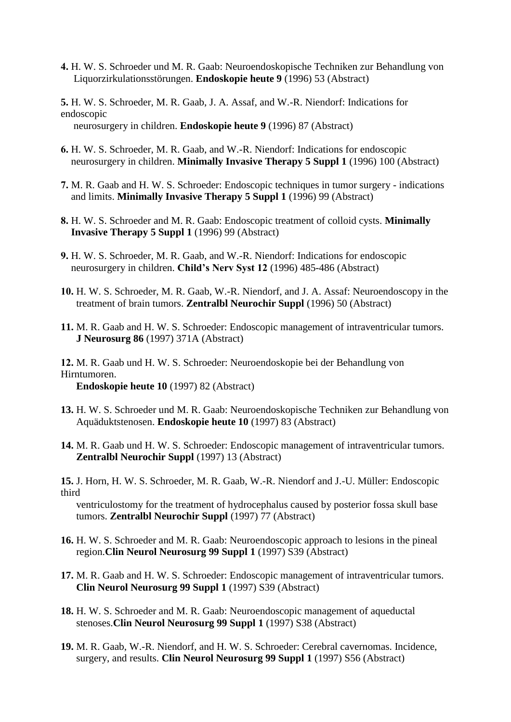- **4.** H. W. S. Schroeder und M. R. Gaab: Neuroendoskopische Techniken zur Behandlung von Liquorzirkulationsstörungen. **Endoskopie heute 9** (1996) 53 (Abstract)
- **5.** H. W. S. Schroeder, M. R. Gaab, J. A. Assaf, and W.-R. Niendorf: Indications for endoscopic neurosurgery in children. **Endoskopie heute 9** (1996) 87 (Abstract)
- **6.** H. W. S. Schroeder, M. R. Gaab, and W.-R. Niendorf: Indications for endoscopic neurosurgery in children. **Minimally Invasive Therapy 5 Suppl 1** (1996) 100 (Abstract)
- **7.** M. R. Gaab and H. W. S. Schroeder: Endoscopic techniques in tumor surgery indications and limits. **Minimally Invasive Therapy 5 Suppl 1** (1996) 99 (Abstract)
- **8.** H. W. S. Schroeder and M. R. Gaab: Endoscopic treatment of colloid cysts. **Minimally Invasive Therapy 5 Suppl 1** (1996) 99 (Abstract)
- **9.** H. W. S. Schroeder, M. R. Gaab, and W.-R. Niendorf: Indications for endoscopic neurosurgery in children. **Child's Nerv Syst 12** (1996) 485-486 (Abstract)
- **10.** H. W. S. Schroeder, M. R. Gaab, W.-R. Niendorf, and J. A. Assaf: Neuroendoscopy in the treatment of brain tumors. **Zentralbl Neurochir Suppl** (1996) 50 (Abstract)
- **11.** M. R. Gaab and H. W. S. Schroeder: Endoscopic management of intraventricular tumors.  **J Neurosurg 86** (1997) 371A (Abstract)

**12.** M. R. Gaab und H. W. S. Schroeder: Neuroendoskopie bei der Behandlung von Hirntumoren. **Endoskopie heute 10** (1997) 82 (Abstract)

- **13.** H. W. S. Schroeder und M. R. Gaab: Neuroendoskopische Techniken zur Behandlung von Aquäduktstenosen. **Endoskopie heute 10** (1997) 83 (Abstract)
- **14.** M. R. Gaab und H. W. S. Schroeder: Endoscopic management of intraventricular tumors. **Zentralbl Neurochir Suppl** (1997) 13 (Abstract)
- **15.** J. Horn, H. W. S. Schroeder, M. R. Gaab, W.-R. Niendorf and J.-U. Müller: Endoscopic third

 ventriculostomy for the treatment of hydrocephalus caused by posterior fossa skull base tumors. **Zentralbl Neurochir Suppl** (1997) 77 (Abstract)

- **16.** H. W. S. Schroeder and M. R. Gaab: Neuroendoscopic approach to lesions in the pineal region.**Clin Neurol Neurosurg 99 Suppl 1** (1997) S39 (Abstract)
- **17.** M. R. Gaab and H. W. S. Schroeder: Endoscopic management of intraventricular tumors. **Clin Neurol Neurosurg 99 Suppl 1** (1997) S39 (Abstract)
- **18.** H. W. S. Schroeder and M. R. Gaab: Neuroendoscopic management of aqueductal stenoses.**Clin Neurol Neurosurg 99 Suppl 1** (1997) S38 (Abstract)
- **19.** M. R. Gaab, W.-R. Niendorf, and H. W. S. Schroeder: Cerebral cavernomas. Incidence, surgery, and results. **Clin Neurol Neurosurg 99 Suppl 1** (1997) S56 (Abstract)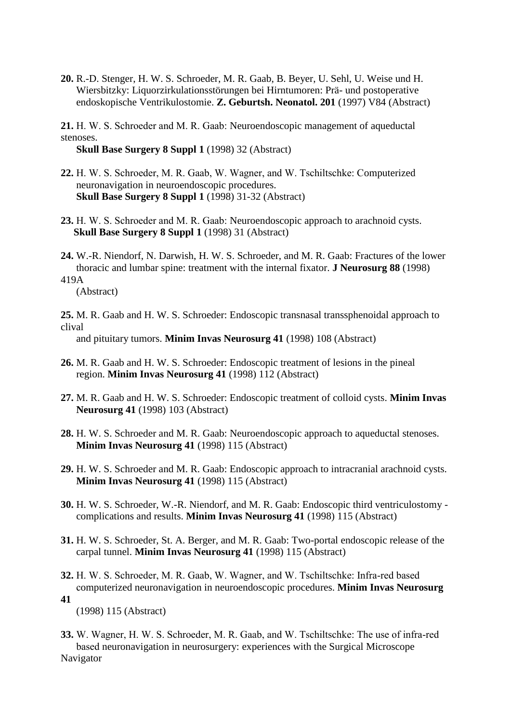**20.** R.-D. Stenger, H. W. S. Schroeder, M. R. Gaab, B. Beyer, U. Sehl, U. Weise und H. Wiersbitzky: Liquorzirkulationsstörungen bei Hirntumoren: Prä- und postoperative endoskopische Ventrikulostomie. **Z. Geburtsh. Neonatol. 201** (1997) V84 (Abstract)

**21.** H. W. S. Schroeder and M. R. Gaab: Neuroendoscopic management of aqueductal stenoses.

**Skull Base Surgery 8 Suppl 1** (1998) 32 (Abstract)

- **22.** H. W. S. Schroeder, M. R. Gaab, W. Wagner, and W. Tschiltschke: Computerized neuronavigation in neuroendoscopic procedures. **Skull Base Surgery 8 Suppl 1** (1998) 31-32 (Abstract)
- **23.** H. W. S. Schroeder and M. R. Gaab: Neuroendoscopic approach to arachnoid cysts. **Skull Base Surgery 8 Suppl 1** (1998) 31 (Abstract)
- **24.** W.-R. Niendorf, N. Darwish, H. W. S. Schroeder, and M. R. Gaab: Fractures of the lower thoracic and lumbar spine: treatment with the internal fixator. **J Neurosurg 88** (1998) 419A

(Abstract)

**25.** M. R. Gaab and H. W. S. Schroeder: Endoscopic transnasal transsphenoidal approach to clival

and pituitary tumors. **Minim Invas Neurosurg 41** (1998) 108 (Abstract)

- **26.** M. R. Gaab and H. W. S. Schroeder: Endoscopic treatment of lesions in the pineal region. **Minim Invas Neurosurg 41** (1998) 112 (Abstract)
- **27.** M. R. Gaab and H. W. S. Schroeder: Endoscopic treatment of colloid cysts. **Minim Invas Neurosurg 41** (1998) 103 (Abstract)
- **28.** H. W. S. Schroeder and M. R. Gaab: Neuroendoscopic approach to aqueductal stenoses. **Minim Invas Neurosurg 41** (1998) 115 (Abstract)
- **29.** H. W. S. Schroeder and M. R. Gaab: Endoscopic approach to intracranial arachnoid cysts. **Minim Invas Neurosurg 41** (1998) 115 (Abstract)
- **30.** H. W. S. Schroeder, W.-R. Niendorf, and M. R. Gaab: Endoscopic third ventriculostomy complications and results. **Minim Invas Neurosurg 41** (1998) 115 (Abstract)
- **31.** H. W. S. Schroeder, St. A. Berger, and M. R. Gaab: Two-portal endoscopic release of the carpal tunnel. **Minim Invas Neurosurg 41** (1998) 115 (Abstract)
- **32.** H. W. S. Schroeder, M. R. Gaab, W. Wagner, and W. Tschiltschke: Infra-red based computerized neuronavigation in neuroendoscopic procedures. **Minim Invas Neurosurg 41**

(1998) 115 (Abstract)

**33.** W. Wagner, H. W. S. Schroeder, M. R. Gaab, and W. Tschiltschke: The use of infra-red based neuronavigation in neurosurgery: experiences with the Surgical Microscope Navigator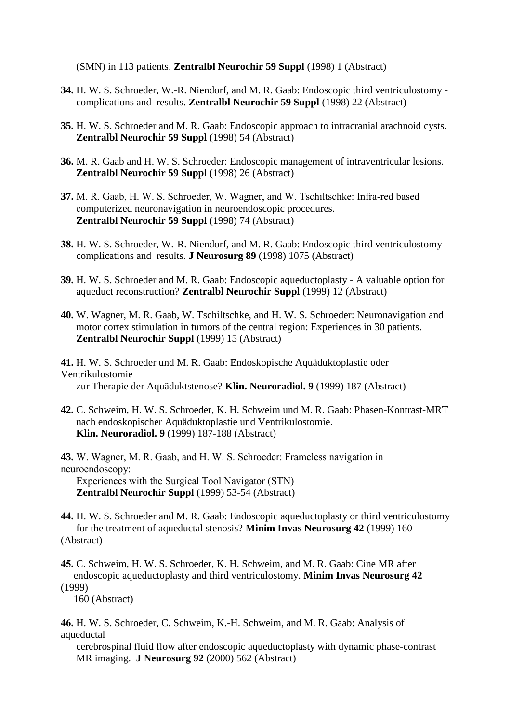(SMN) in 113 patients. **Zentralbl Neurochir 59 Suppl** (1998) 1 (Abstract)

- **34.** H. W. S. Schroeder, W.-R. Niendorf, and M. R. Gaab: Endoscopic third ventriculostomy complications and results. **Zentralbl Neurochir 59 Suppl** (1998) 22 (Abstract)
- **35.** H. W. S. Schroeder and M. R. Gaab: Endoscopic approach to intracranial arachnoid cysts. **Zentralbl Neurochir 59 Suppl** (1998) 54 (Abstract)
- **36.** M. R. Gaab and H. W. S. Schroeder: Endoscopic management of intraventricular lesions. **Zentralbl Neurochir 59 Suppl** (1998) 26 (Abstract)
- **37.** M. R. Gaab, H. W. S. Schroeder, W. Wagner, and W. Tschiltschke: Infra-red based computerized neuronavigation in neuroendoscopic procedures. **Zentralbl Neurochir 59 Suppl** (1998) 74 (Abstract)
- **38.** H. W. S. Schroeder, W.-R. Niendorf, and M. R. Gaab: Endoscopic third ventriculostomy complications and results. **J Neurosurg 89** (1998) 1075 (Abstract)
- **39.** H. W. S. Schroeder and M. R. Gaab: Endoscopic aqueductoplasty A valuable option for aqueduct reconstruction? **Zentralbl Neurochir Suppl** (1999) 12 (Abstract)
- **40.** W. Wagner, M. R. Gaab, W. Tschiltschke, and H. W. S. Schroeder: Neuronavigation and motor cortex stimulation in tumors of the central region: Experiences in 30 patients. **Zentralbl Neurochir Suppl** (1999) 15 (Abstract)

**41.** H. W. S. Schroeder und M. R. Gaab: Endoskopische Aquäduktoplastie oder Ventrikulostomie zur Therapie der Aquäduktstenose? **Klin. Neuroradiol. 9** (1999) 187 (Abstract)

**42.** C. Schweim, H. W. S. Schroeder, K. H. Schweim und M. R. Gaab: Phasen-Kontrast-MRT nach endoskopischer Aquäduktoplastie und Ventrikulostomie. **Klin. Neuroradiol. 9** (1999) 187-188 (Abstract)

**43.** W. Wagner, M. R. Gaab, and H. W. S. Schroeder: Frameless navigation in neuroendoscopy:

 Experiences with the Surgical Tool Navigator (STN) **Zentralbl Neurochir Suppl** (1999) 53-54 (Abstract)

**44.** H. W. S. Schroeder and M. R. Gaab: Endoscopic aqueductoplasty or third ventriculostomy for the treatment of aqueductal stenosis? **Minim Invas Neurosurg 42** (1999) 160 (Abstract)

**45.** C. Schweim, H. W. S. Schroeder, K. H. Schweim, and M. R. Gaab: Cine MR after endoscopic aqueductoplasty and third ventriculostomy. **Minim Invas Neurosurg 42**  (1999)

160 (Abstract)

**46.** H. W. S. Schroeder, C. Schweim, K.-H. Schweim, and M. R. Gaab: Analysis of aqueductal

 cerebrospinal fluid flow after endoscopic aqueductoplasty with dynamic phase-contrast MR imaging. **J Neurosurg 92** (2000) 562 (Abstract)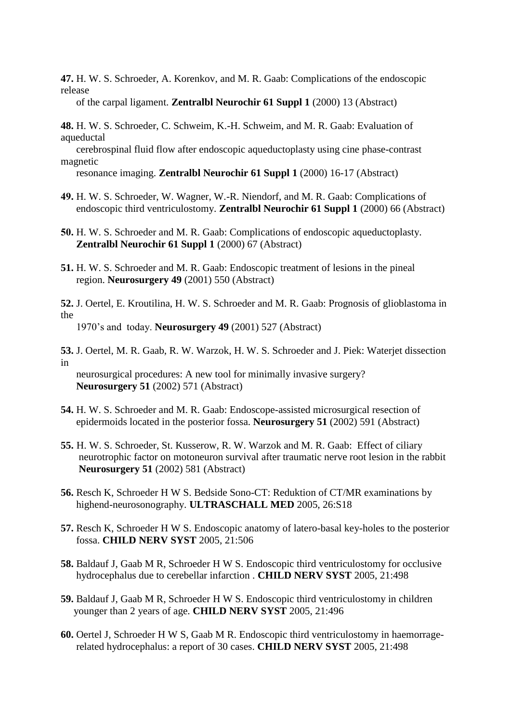**47.** H. W. S. Schroeder, A. Korenkov, and M. R. Gaab: Complications of the endoscopic release

of the carpal ligament. **Zentralbl Neurochir 61 Suppl 1** (2000) 13 (Abstract)

- **48.** H. W. S. Schroeder, C. Schweim, K.-H. Schweim, and M. R. Gaab: Evaluation of aqueductal
- cerebrospinal fluid flow after endoscopic aqueductoplasty using cine phase-contrast magnetic

resonance imaging. **Zentralbl Neurochir 61 Suppl 1** (2000) 16-17 (Abstract)

- **49.** H. W. S. Schroeder, W. Wagner, W.-R. Niendorf, and M. R. Gaab: Complications of endoscopic third ventriculostomy. **Zentralbl Neurochir 61 Suppl 1** (2000) 66 (Abstract)
- **50.** H. W. S. Schroeder and M. R. Gaab: Complications of endoscopic aqueductoplasty. **Zentralbl Neurochir 61 Suppl 1** (2000) 67 (Abstract)
- **51.** H. W. S. Schroeder and M. R. Gaab: Endoscopic treatment of lesions in the pineal region. **Neurosurgery 49** (2001) 550 (Abstract)
- **52.** J. Oertel, E. Kroutilina, H. W. S. Schroeder and M. R. Gaab: Prognosis of glioblastoma in the

1970's and today. **Neurosurgery 49** (2001) 527 (Abstract)

**53.** J. Oertel, M. R. Gaab, R. W. Warzok, H. W. S. Schroeder and J. Piek: Waterjet dissection in

 neurosurgical procedures: A new tool for minimally invasive surgery?  **Neurosurgery 51** (2002) 571 (Abstract)

- **54.** H. W. S. Schroeder and M. R. Gaab: Endoscope-assisted microsurgical resection of epidermoids located in the posterior fossa. **Neurosurgery 51** (2002) 591 (Abstract)
- **55.** H. W. S. Schroeder, St. Kusserow, R. W. Warzok and M. R. Gaab: Effect of ciliary neurotrophic factor on motoneuron survival after traumatic nerve root lesion in the rabbit **Neurosurgery 51** (2002) 581 (Abstract)
- **56.** Resch K, Schroeder H W S. Bedside Sono-CT: Reduktion of CT/MR examinations by highend-neurosonography. **ULTRASCHALL MED** 2005, 26:S18
- **57.** Resch K, Schroeder H W S. Endoscopic anatomy of latero-basal key-holes to the posterior fossa. **CHILD NERV SYST** 2005, 21:506
- **58.** Baldauf J, Gaab M R, Schroeder H W S. Endoscopic third ventriculostomy for occlusive hydrocephalus due to cerebellar infarction . **CHILD NERV SYST** 2005, 21:498
- **59.** Baldauf J, Gaab M R, Schroeder H W S. Endoscopic third ventriculostomy in children younger than 2 years of age. **CHILD NERV SYST** 2005, 21:496
- **60.** Oertel J, Schroeder H W S, Gaab M R. Endoscopic third ventriculostomy in haemorrage related hydrocephalus: a report of 30 cases. **CHILD NERV SYST** 2005, 21:498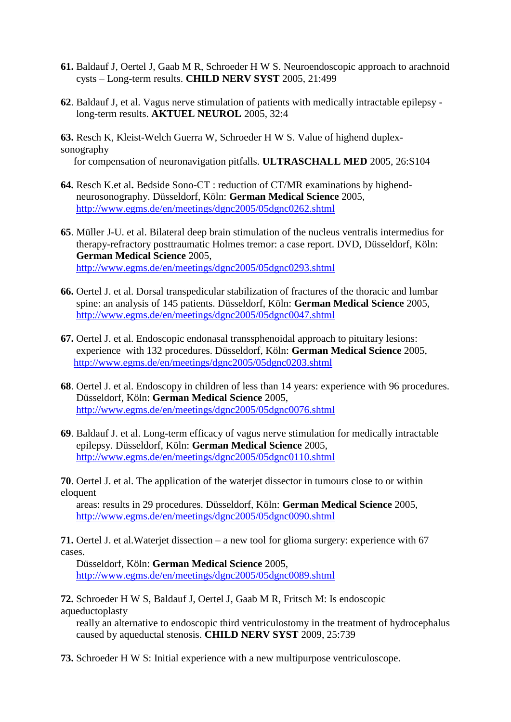- **61.** Baldauf J, Oertel J, Gaab M R, Schroeder H W S. Neuroendoscopic approach to arachnoid cysts – Long-term results. **CHILD NERV SYST** 2005, 21:499
- **62**. Baldauf J, et al. Vagus nerve stimulation of patients with medically intractable epilepsy long-term results. **AKTUEL NEUROL** 2005, 32:4
- **63.** Resch K, Kleist-Welch Guerra W, Schroeder H W S. Value of highend duplexsonography

for compensation of neuronavigation pitfalls. **ULTRASCHALL MED** 2005, 26:S104

- **64.** Resch K.et al**.** Bedside Sono-CT : reduction of CT/MR examinations by highend neurosonography. Düsseldorf, Köln: **German Medical Science** 2005, <http://www.egms.de/en/meetings/dgnc2005/05dgnc0262.shtml>
- **65**. Müller J-U. et al. Bilateral deep brain stimulation of the nucleus ventralis intermedius for therapy-refractory posttraumatic Holmes tremor: a case report. DVD, Düsseldorf, Köln: **German Medical Science** 2005, <http://www.egms.de/en/meetings/dgnc2005/05dgnc0293.shtml>
- **66.** Oertel J. et al. Dorsal transpedicular stabilization of fractures of the thoracic and lumbar spine: an analysis of 145 patients. Düsseldorf, Köln: **German Medical Science** 2005, <http://www.egms.de/en/meetings/dgnc2005/05dgnc0047.shtml>
- **67.** Oertel J. et al. Endoscopic endonasal transsphenoidal approach to pituitary lesions: experience with 132 procedures. Düsseldorf, Köln: **German Medical Science** 2005, <http://www.egms.de/en/meetings/dgnc2005/05dgnc0203.shtml>
- **68**. Oertel J. et al. Endoscopy in children of less than 14 years: experience with 96 procedures. Düsseldorf, Köln: **German Medical Science** 2005, <http://www.egms.de/en/meetings/dgnc2005/05dgnc0076.shtml>
- **69**. Baldauf J. et al. Long-term efficacy of vagus nerve stimulation for medically intractable epilepsy. Düsseldorf, Köln: **German Medical Science** 2005, <http://www.egms.de/en/meetings/dgnc2005/05dgnc0110.shtml>

**70**. Oertel J. et al. The application of the waterjet dissector in tumours close to or within eloquent

 areas: results in 29 procedures. Düsseldorf, Köln: **German Medical Science** 2005, <http://www.egms.de/en/meetings/dgnc2005/05dgnc0090.shtml>

**71.** Oertel J. et al.Waterjet dissection – a new tool for glioma surgery: experience with 67 cases.

 Düsseldorf, Köln: **German Medical Science** 2005, <http://www.egms.de/en/meetings/dgnc2005/05dgnc0089.shtml>

**72.** Schroeder H W S, Baldauf J, Oertel J, Gaab M R, Fritsch M: Is endoscopic aqueductoplasty

 really an alternative to endoscopic third ventriculostomy in the treatment of hydrocephalus caused by aqueductal stenosis. **CHILD NERV SYST** 2009, 25:739

**73.** Schroeder H W S: Initial experience with a new multipurpose ventriculoscope.